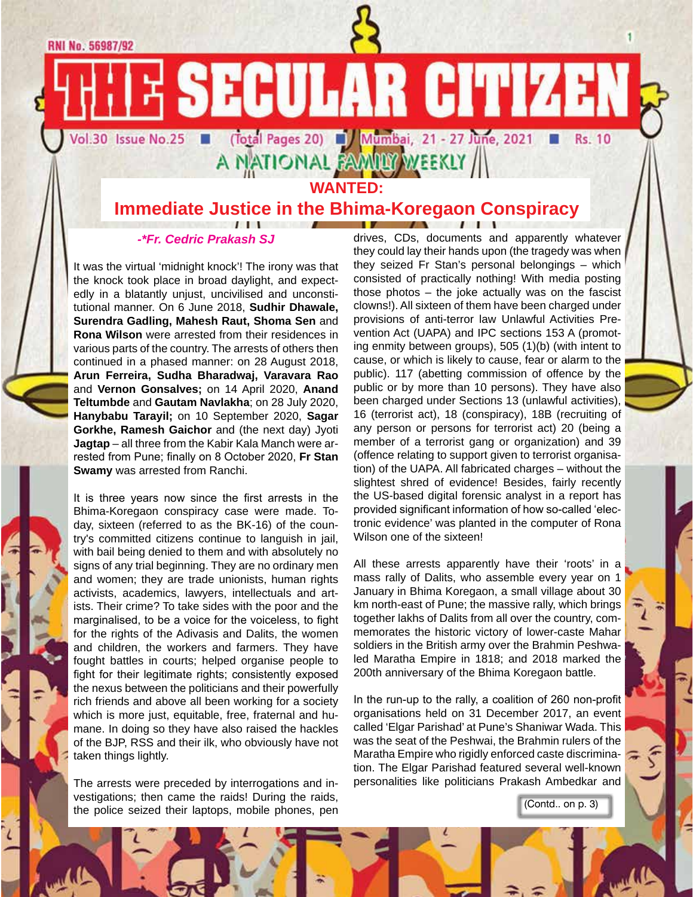**RNI No. 56987/92** 

Vol.30 Issue No.25

(Total Pages 20) J Mumbai, 21 - 27 June, 2021 **WANTED:**

**SECULAR CITIZEN** 

**Immediate Justice in the Bhima-Koregaon Conspiracy**

#### *-\*Fr. Cedric Prakash SJ*

It was the virtual 'midnight knock'! The irony was that the knock took place in broad daylight, and expectedly in a blatantly unjust, uncivilised and unconstitutional manner. On 6 June 2018, **Sudhir Dhawale, Surendra Gadling, Mahesh Raut, Shoma Sen** and **Rona Wilson** were arrested from their residences in various parts of the country. The arrests of others then continued in a phased manner: on 28 August 2018, **Arun Ferreira, Sudha Bharadwaj, Varavara Rao**  and **Vernon Gonsalves;** on 14 April 2020, **Anand Teltumbde** and **Gautam Navlakha**; on 28 July 2020, **Hanybabu Tarayil;** on 10 September 2020, **Sagar Gorkhe, Ramesh Gaichor** and (the next day) Jyoti **Jagtap** – all three from the Kabir Kala Manch were arrested from Pune; finally on 8 October 2020, **Fr Stan Swamy** was arrested from Ranchi.

It is three years now since the first arrests in the Bhima-Koregaon conspiracy case were made. Today, sixteen (referred to as the BK-16) of the country's committed citizens continue to languish in jail, with bail being denied to them and with absolutely no signs of any trial beginning. They are no ordinary men and women; they are trade unionists, human rights activists, academics, lawyers, intellectuals and artists. Their crime? To take sides with the poor and the marginalised, to be a voice for the voiceless, to fight for the rights of the Adivasis and Dalits, the women and children, the workers and farmers. They have fought battles in courts; helped organise people to fight for their legitimate rights; consistently exposed the nexus between the politicians and their powerfully rich friends and above all been working for a society which is more just, equitable, free, fraternal and humane. In doing so they have also raised the hackles of the BJP, RSS and their ilk, who obviously have not taken things lightly.

The arrests were preceded by interrogations and investigations; then came the raids! During the raids, the police seized their laptops, mobile phones, pen drives, CDs, documents and apparently whatever they could lay their hands upon (the tragedy was when they seized Fr Stan's personal belongings – which consisted of practically nothing! With media posting those photos – the joke actually was on the fascist clowns!). All sixteen of them have been charged under provisions of anti-terror law Unlawful Activities Prevention Act (UAPA) and IPC sections 153 A (promoting enmity between groups), 505 (1)(b) (with intent to cause, or which is likely to cause, fear or alarm to the public). 117 (abetting commission of offence by the public or by more than 10 persons). They have also been charged under Sections 13 (unlawful activities), 16 (terrorist act), 18 (conspiracy), 18B (recruiting of any person or persons for terrorist act) 20 (being a member of a terrorist gang or organization) and 39 (offence relating to support given to terrorist organisation) of the UAPA. All fabricated charges – without the slightest shred of evidence! Besides, fairly recently the US-based digital forensic analyst in a report has provided significant information of how so-called 'electronic evidence' was planted in the computer of Rona Wilson one of the sixteen!

**Rs. 10** 

All these arrests apparently have their 'roots' in a mass rally of Dalits, who assemble every year on 1 January in Bhima Koregaon, a small village about 30 km north-east of Pune; the massive rally, which brings together lakhs of Dalits from all over the country, commemorates the historic victory of lower-caste Mahar soldiers in the British army over the Brahmin Peshwaled Maratha Empire in 1818; and 2018 marked the 200th anniversary of the Bhima Koregaon battle.

In the run-up to the rally, a coalition of 260 non-profit organisations held on 31 December 2017, an event called 'Elgar Parishad' at Pune's Shaniwar Wada. This was the seat of the Peshwai, the Brahmin rulers of the Maratha Empire who rigidly enforced caste discrimination. The Elgar Parishad featured several well-known personalities like politicians Prakash Ambedkar and

(Contd.. on p. 3)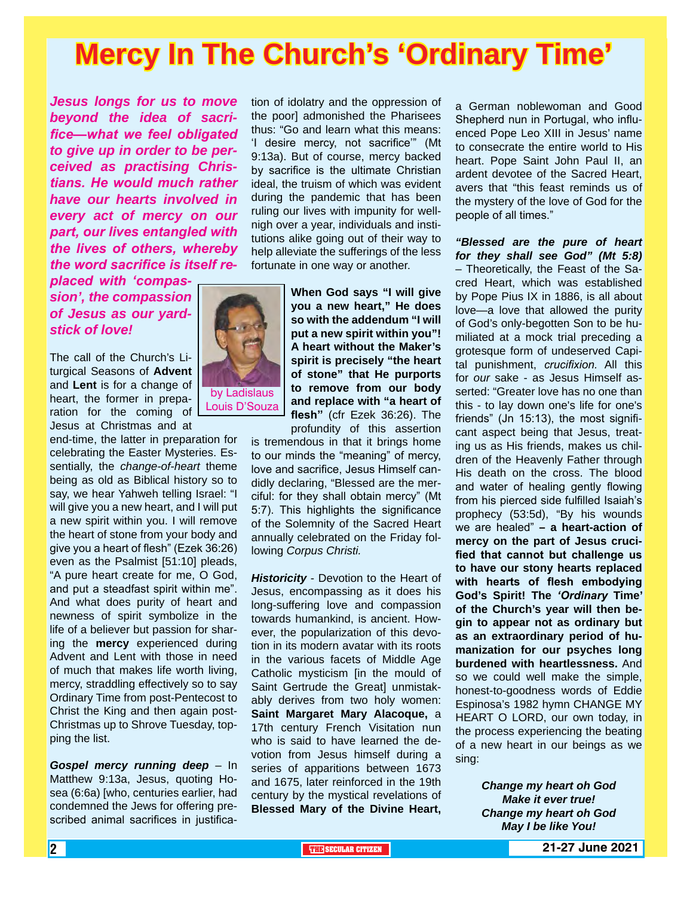## **Mercy In The Church's 'Ordinary Time'**

*Jesus longs for us to move beyond the idea of sacrifice—what we feel obligated to give up in order to be perceived as practising Christians. He would much rather have our hearts involved in every act of mercy on our part, our lives entangled with the lives of others, whereby the word sacrifice is itself re-*

*placed with 'compassion', the compassion of Jesus as our yardstick of love!*

The call of the Church's Liturgical Seasons of **Advent** and **Lent** is for a change of heart, the former in preparation for the coming of Jesus at Christmas and at

end-time, the latter in preparation for celebrating the Easter Mysteries. Essentially, the *change-of-heart* theme being as old as Biblical history so to say, we hear Yahweh telling Israel: "I will give you a new heart, and I will put a new spirit within you. I will remove the heart of stone from your body and give you a heart of flesh" (Ezek 36:26) even as the Psalmist [51:10] pleads, "A pure heart create for me, O God, and put a steadfast spirit within me". And what does purity of heart and newness of spirit symbolize in the life of a believer but passion for sharing the **mercy** experienced during Advent and Lent with those in need of much that makes life worth living, mercy, straddling effectively so to say Ordinary Time from post-Pentecost to Christ the King and then again post-Christmas up to Shrove Tuesday, topping the list.

*Gospel mercy running deep* – In Matthew 9:13a, Jesus, quoting Hosea (6:6a) [who, centuries earlier, had condemned the Jews for offering prescribed animal sacrifices in justifica-

tion of idolatry and the oppression of the poor] admonished the Pharisees thus: "Go and learn what this means: 'I desire mercy, not sacrifice'" (Mt 9:13a). But of course, mercy backed by sacrifice is the ultimate Christian ideal, the truism of which was evident during the pandemic that has been ruling our lives with impunity for wellnigh over a year, individuals and institutions alike going out of their way to help alleviate the sufferings of the less fortunate in one way or another.

> **When God says "I will give you a new heart," He does so with the addendum "I will put a new spirit within you"! A heart without the Maker's spirit is precisely "the heart of stone" that He purports to remove from our body and replace with "a heart of flesh"** (cfr Ezek 36:26). The profundity of this assertion

is tremendous in that it brings home to our minds the "meaning" of mercy, love and sacrifice, Jesus Himself candidly declaring, "Blessed are the merciful: for they shall obtain mercy" (Mt 5:7). This highlights the significance of the Solemnity of the Sacred Heart annually celebrated on the Friday following *Corpus Christi.*

*Historicity* - Devotion to the Heart of Jesus, encompassing as it does his long-suffering love and compassion towards humankind, is ancient. However, the popularization of this devotion in its modern avatar with its roots in the various facets of Middle Age Catholic mysticism [in the mould of Saint Gertrude the Great] unmistakably derives from two holy women: **Saint Margaret Mary Alacoque,** a 17th century French Visitation nun who is said to have learned the devotion from Jesus himself during a series of apparitions between 1673 and 1675, later reinforced in the 19th century by the mystical revelations of **Blessed Mary of the Divine Heart,** a German noblewoman and Good Shepherd nun in Portugal, who influenced Pope Leo XIII in Jesus' name to consecrate the entire world to His heart. Pope Saint John Paul II, an ardent devotee of the Sacred Heart, avers that "this feast reminds us of the mystery of the love of God for the people of all times."

*"Blessed are the pure of heart for they shall see God" (Mt 5:8)* – Theoretically, the Feast of the Sacred Heart, which was established by Pope Pius IX in 1886, is all about love—a love that allowed the purity of God's only-begotten Son to be humiliated at a mock trial preceding a grotesque form of undeserved Capital punishment, *crucifixion.* All this for *our* sake - as Jesus Himself asserted: "Greater love has no one than this - to lay down one's life for one's friends" (Jn 15:13), the most significant aspect being that Jesus, treating us as His friends, makes us children of the Heavenly Father through His death on the cross. The blood and water of healing gently flowing from his pierced side fulfilled Isaiah's prophecy (53:5d), "By his wounds we are healed" **– a heart-action of mercy on the part of Jesus crucified that cannot but challenge us to have our stony hearts replaced with hearts of flesh embodying God's Spirit! The** *'Ordinary* **Time' of the Church's year will then begin to appear not as ordinary but as an extraordinary period of humanization for our psyches long burdened with heartlessness.** And so we could well make the simple, honest-to-goodness words of Eddie Espinosa's 1982 hymn CHANGE MY HEART O LORD, our own today, in the process experiencing the beating of a new heart in our beings as we sing:

> *Change my heart oh God Make it ever true! Change my heart oh God May I be like You!*

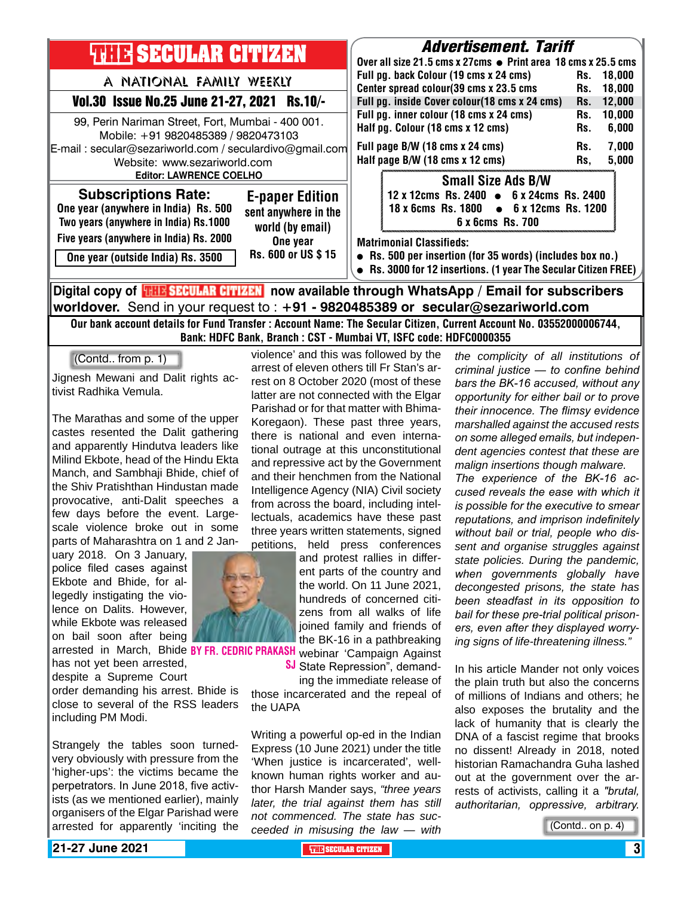| <b>THEIR SECULAR CITIZEN</b><br>A NATIONAL FAMILY WEEKLY                                                                                                                                                                           | <b>Advertisement. Tariff</b><br>Over all size 21.5 cms x 27cms • Print area 18 cms x 25.5 cms<br>Full pg. back Colour (19 cms x 24 cms)<br>18,000<br>Rs.<br>Center spread colour(39 cms x 23.5 cms<br>18,000<br>Rs.                                                                   |
|------------------------------------------------------------------------------------------------------------------------------------------------------------------------------------------------------------------------------------|---------------------------------------------------------------------------------------------------------------------------------------------------------------------------------------------------------------------------------------------------------------------------------------|
| Vol.30 Issue No.25 June 21-27, 2021 Rs.10/-<br>99, Perin Nariman Street, Fort, Mumbai - 400 001.<br>Mobile: +91 9820485389 / 9820473103<br>E-mail: secular@sezariworld.com / seculardivo@gmail.com<br>Website: www.sezariworld.com | Full pg. inside Cover colour(18 cms x 24 cms)<br>12,000<br>Rs.<br>Full pg. inner colour (18 cms x 24 cms)<br>10,000<br>Rs.<br>Half pg. Colour (18 cms x 12 cms)<br>6,000<br>Rs.<br>7,000<br>Full page B/W (18 cms x 24 cms)<br>Rs.<br>Half page B/W (18 cms x 12 cms)<br>5,000<br>Rs, |
| <b>Editor: LAWRENCE COELHO</b><br><b>Subscriptions Rate:</b><br><b>E-paper Edition</b><br>One year (anywhere in India) Rs. 500<br>sent anywhere in the<br>Two years (anywhere in India) Rs.1000<br>world (by email)                | <b>Small Size Ads B/W</b><br>12 x 12cms Rs. 2400 • 6 x 24cms Rs. 2400<br>18 x 6cms Rs. 1800 • 6 x 12cms Rs. 1200<br>6 x 6cms Rs. 700                                                                                                                                                  |
| Five years (anywhere in India) Rs. 2000<br>One year<br>Rs. 600 or US \$15<br>One year (outside India) Rs. 3500                                                                                                                     | <b>Matrimonial Classifieds:</b><br>• Rs. 500 per insertion (for 35 words) (includes box no.)<br>• Rs. 3000 for 12 insertions. (1 year The Secular Citizen FREE)                                                                                                                       |

**worldover.** Send in your request to : **+91 - 9820485389 or secular@sezariworld.com** Our bank account details for Fund Transfer : Account Name: The Secular Citizen, Current Account No. 03552000006744,

Bank: HDFC Bank, Branch : CST - Mumbai VT, ISFC code: HDFC0000355

(Contd.. from p. 1)

Jignesh Mewani and Dalit rights activist Radhika Vemula.

The Marathas and some of the upper castes resented the Dalit gathering and apparently Hindutva leaders like Milind Ekbote, head of the Hindu Ekta Manch, and Sambhaji Bhide, chief of the Shiv Pratishthan Hindustan made provocative, anti-Dalit speeches a few days before the event. Largescale violence broke out in some parts of Maharashtra on 1 and 2 Jan-

uary 2018. On 3 January, police filed cases against Ekbote and Bhide, for allegedly instigating the violence on Dalits. However, while Ekbote was released on bail soon after being has not yet been arrested,

despite a Supreme Court

order demanding his arrest. Bhide is close to several of the RSS leaders including PM Modi.

Strangely the tables soon turnedvery obviously with pressure from the 'higher-ups': the victims became the perpetrators. In June 2018, five activists (as we mentioned earlier), mainly organisers of the Elgar Parishad were arrested for apparently 'inciting the

violence' and this was followed by the arrest of eleven others till Fr Stan's arrest on 8 October 2020 (most of these latter are not connected with the Elgar Parishad or for that matter with Bhima-Koregaon). These past three years, there is national and even international outrage at this unconstitutional and repressive act by the Government and their henchmen from the National Intelligence Agency (NIA) Civil society from across the board, including intellectuals, academics have these past three years written statements, signed petitions, held press conferences

arrested in March, Bhide BY FR. CEDRIC PRAKASH webinar 'Campaign Against and protest rallies in different parts of the country and the world. On 11 June 2021, hundreds of concerned citizens from all walks of life joined family and friends of the BK-16 in a pathbreaking

> SJ State Repression", demanding the immediate release of

those incarcerated and the repeal of the UAPA

Writing a powerful op-ed in the Indian Express (10 June 2021) under the title 'When justice is incarcerated', wellknown human rights worker and author Harsh Mander says, *"three years later, the trial against them has still not commenced. The state has succeeded in misusing the law — with* 

*the complicity of all institutions of criminal justice — to confine behind bars the BK-16 accused, without any opportunity for either bail or to prove their innocence. The flimsy evidence marshalled against the accused rests on some alleged emails, but independent agencies contest that these are malign insertions though malware.*

*The experience of the BK-16 accused reveals the ease with which it is possible for the executive to smear reputations, and imprison indefinitely without bail or trial, people who dissent and organise struggles against state policies. During the pandemic, when governments globally have decongested prisons, the state has been steadfast in its opposition to bail for these pre-trial political prisoners, even after they displayed worrying signs of life-threatening illness."*

In his article Mander not only voices the plain truth but also the concerns of millions of Indians and others; he also exposes the brutality and the lack of humanity that is clearly the DNA of a fascist regime that brooks no dissent! Already in 2018, noted historian Ramachandra Guha lashed out at the government over the arrests of activists, calling it a *"brutal, authoritarian, oppressive, arbitrary.* 

(Contd.. on p. 4)

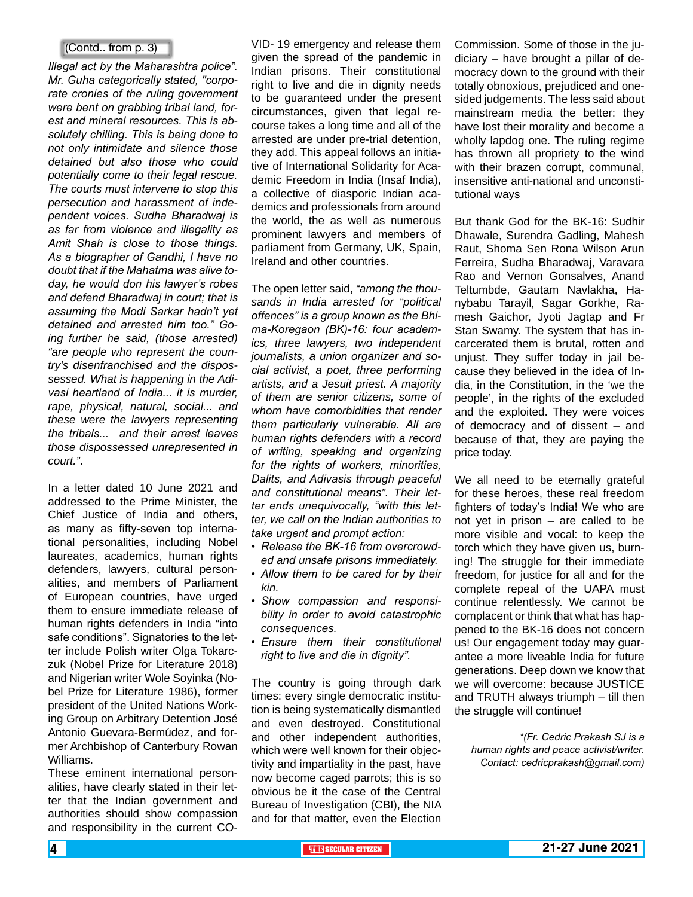#### (Contd.. from p. 3)

*Illegal act by the Maharashtra police". Mr. Guha categorically stated, "corporate cronies of the ruling government were bent on grabbing tribal land, forest and mineral resources. This is absolutely chilling. This is being done to not only intimidate and silence those detained but also those who could potentially come to their legal rescue. The courts must intervene to stop this persecution and harassment of independent voices. Sudha Bharadwaj is as far from violence and illegality as Amit Shah is close to those things. As a biographer of Gandhi, I have no doubt that if the Mahatma was alive today, he would don his lawyer's robes and defend Bharadwaj in court; that is assuming the Modi Sarkar hadn't yet detained and arrested him too." Going further he said, (those arrested) "are people who represent the country's disenfranchised and the dispossessed. What is happening in the Adivasi heartland of India... it is murder, rape, physical, natural, social... and these were the lawyers representing the tribals... and their arrest leaves those dispossessed unrepresented in court."*.

In a letter dated 10 June 2021 and addressed to the Prime Minister, the Chief Justice of India and others, as many as fifty-seven top international personalities, including Nobel laureates, academics, human rights defenders, lawyers, cultural personalities, and members of Parliament of European countries, have urged them to ensure immediate release of human rights defenders in India "into safe conditions". Signatories to the letter include Polish writer Olga Tokarczuk (Nobel Prize for Literature 2018) and Nigerian writer Wole Soyinka (Nobel Prize for Literature 1986), former president of the United Nations Working Group on Arbitrary Detention José Antonio Guevara-Bermúdez, and former Archbishop of Canterbury Rowan Williams.

These eminent international personalities, have clearly stated in their letter that the Indian government and authorities should show compassion and responsibility in the current CO-

VID- 19 emergency and release them given the spread of the pandemic in Indian prisons. Their constitutional right to live and die in dignity needs to be guaranteed under the present circumstances, given that legal recourse takes a long time and all of the arrested are under pre-trial detention, they add. This appeal follows an initiative of International Solidarity for Academic Freedom in India (Insaf India), a collective of diasporic Indian academics and professionals from around the world, the as well as numerous prominent lawyers and members of parliament from Germany, UK, Spain, Ireland and other countries.

The open letter said, *"among the thousands in India arrested for "political offences" is a group known as the Bhima-Koregaon (BK)-16: four academics, three lawyers, two independent journalists, a union organizer and social activist, a poet, three performing artists, and a Jesuit priest. A majority of them are senior citizens, some of whom have comorbidities that render them particularly vulnerable. All are human rights defenders with a record of writing, speaking and organizing for the rights of workers, minorities, Dalits, and Adivasis through peaceful and constitutional means". Their letter ends unequivocally, "with this letter, we call on the Indian authorities to take urgent and prompt action:*

- *• Release the BK-16 from overcrowded and unsafe prisons immediately.*
- *• Allow them to be cared for by their kin.*
- *• Show compassion and responsibility in order to avoid catastrophic consequences.*
- *• Ensure them their constitutional right to live and die in dignity".*

The country is going through dark times: every single democratic institution is being systematically dismantled and even destroyed. Constitutional and other independent authorities, which were well known for their objectivity and impartiality in the past, have now become caged parrots; this is so obvious be it the case of the Central Bureau of Investigation (CBI), the NIA and for that matter, even the Election Commission. Some of those in the judiciary – have brought a pillar of democracy down to the ground with their totally obnoxious, prejudiced and onesided judgements. The less said about mainstream media the better: they have lost their morality and become a wholly lapdog one. The ruling regime has thrown all propriety to the wind with their brazen corrupt, communal, insensitive anti-national and unconstitutional ways

But thank God for the BK-16: Sudhir Dhawale, Surendra Gadling, Mahesh Raut, Shoma Sen Rona Wilson Arun Ferreira, Sudha Bharadwaj, Varavara Rao and Vernon Gonsalves, Anand Teltumbde, Gautam Navlakha, Hanybabu Tarayil, Sagar Gorkhe, Ramesh Gaichor, Jyoti Jagtap and Fr Stan Swamy. The system that has incarcerated them is brutal, rotten and unjust. They suffer today in jail because they believed in the idea of India, in the Constitution, in the 'we the people', in the rights of the excluded and the exploited. They were voices of democracy and of dissent – and because of that, they are paying the price today.

We all need to be eternally grateful for these heroes, these real freedom fighters of today's India! We who are not yet in prison – are called to be more visible and vocal: to keep the torch which they have given us, burning! The struggle for their immediate freedom, for justice for all and for the complete repeal of the UAPA must continue relentlessly. We cannot be complacent or think that what has happened to the BK-16 does not concern us! Our engagement today may guarantee a more liveable India for future generations. Deep down we know that we will overcome: because JUSTICE and TRUTH always triumph – till then the struggle will continue!

*\*(Fr. Cedric Prakash SJ is a human rights and peace activist/writer. Contact: cedricprakash@gmail.com)*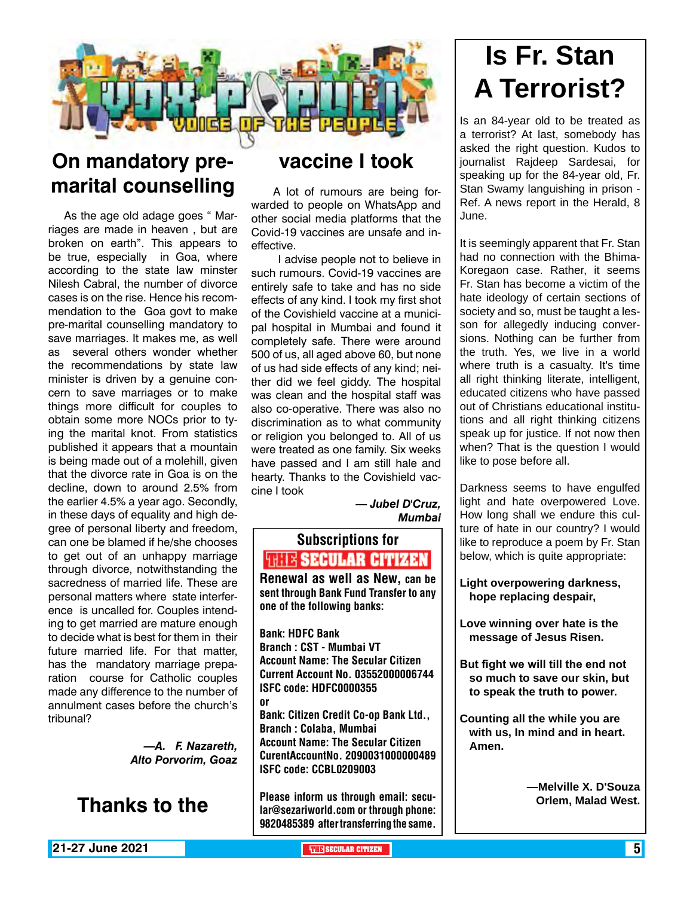

### **On mandatory premarital counselling**

As the age old adage goes " Marriages are made in heaven , but are broken on earth". This appears to be true, especially in Goa, where according to the state law minster Nilesh Cabral, the number of divorce cases is on the rise. Hence his recommendation to the Goa govt to make pre-marital counselling mandatory to save marriages. It makes me, as well as several others wonder whether the recommendations by state law minister is driven by a genuine concern to save marriages or to make things more difficult for couples to obtain some more NOCs prior to tying the marital knot. From statistics published it appears that a mountain is being made out of a molehill, given that the divorce rate in Goa is on the decline, down to around 2.5% from the earlier 4.5% a year ago. Secondly, in these days of equality and high degree of personal liberty and freedom, can one be blamed if he/she chooses to get out of an unhappy marriage through divorce, notwithstanding the sacredness of married life. These are personal matters where state interference is uncalled for. Couples intending to get married are mature enough to decide what is best for them in their future married life. For that matter, has the mandatory marriage preparation course for Catholic couples made any difference to the number of annulment cases before the church's tribunal?

> *—A. F. Nazareth, Alto Porvorim, Goaz*



### **vaccine I took**

 A lot of rumours are being forwarded to people on WhatsApp and other social media platforms that the Covid-19 vaccines are unsafe and ineffective.

 I advise people not to believe in such rumours. Covid-19 vaccines are entirely safe to take and has no side effects of any kind. I took my first shot of the Covishield vaccine at a municipal hospital in Mumbai and found it completely safe. There were around 500 of us, all aged above 60, but none of us had side effects of any kind; neither did we feel giddy. The hospital was clean and the hospital staff was also co-operative. There was also no discrimination as to what community or religion you belonged to. All of us were treated as one family. Six weeks have passed and I am still hale and hearty. Thanks to the Covishield vaccine I took

*— Jubel D'Cruz, Mumbai*

### Subscriptions for **THITE SECULAR CITIZEN**<br>Renewal as well as New, can be

sent through Bank Fund Transfer to any one of the following banks:

Bank: HDFC Bank Branch : CST - Mumbai VT Account Name: The Secular Citizen Current Account No. 03552000006744 ISFC code: HDFC0000355 or

Bank: Citizen Credit Co-op Bank Ltd., Branch : Colaba, Mumbai Account Name: The Secular Citizen CurentAccountNo. 2090031000000489 ISFC code: CCBL0209003

Please inform us through email: secular@sezariworld.com or through phone: 9820485389 after transferring the same.

## **Is Fr. Stan A Terrorist?**

Is an 84-year old to be treated as a terrorist? At last, somebody has asked the right question. Kudos to journalist Rajdeep Sardesai, for speaking up for the 84-year old, Fr. Stan Swamy languishing in prison - Ref. A news report in the Herald, 8 June.

It is seemingly apparent that Fr. Stan had no connection with the Bhima-Koregaon case. Rather, it seems Fr. Stan has become a victim of the hate ideology of certain sections of society and so, must be taught a lesson for allegedly inducing conversions. Nothing can be further from the truth. Yes, we live in a world where truth is a casualty. It's time all right thinking literate, intelligent, educated citizens who have passed out of Christians educational institutions and all right thinking citizens speak up for justice. If not now then when? That is the question I would like to pose before all.

Darkness seems to have engulfed light and hate overpowered Love. How long shall we endure this culture of hate in our country? I would like to reproduce a poem by Fr. Stan below, which is quite appropriate:

**Light overpowering darkness, hope replacing despair,**

**Love winning over hate is the message of Jesus Risen.**

**But fight we will till the end not so much to save our skin, but to speak the truth to power.**

**Counting all the while you are with us, In mind and in heart. Amen.**

> **—Melville X. D'Souza Orlem, Malad West.**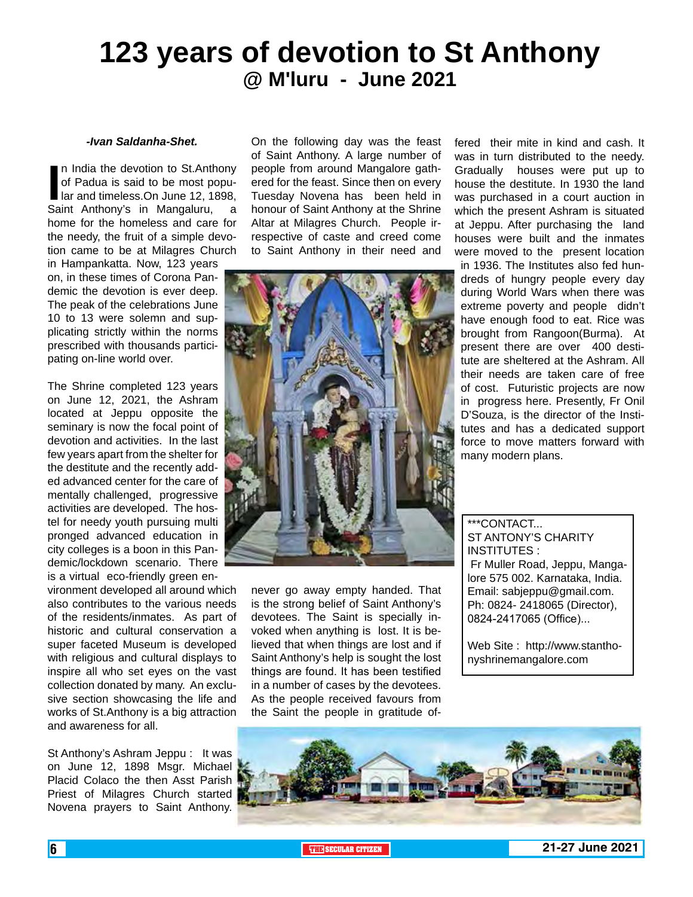### **123 years of devotion to St Anthony @ M'luru - June 2021**

#### *-Ivan Saldanha-Shet.*

In India the devotion to St.Anthony<br>of Padua is said to be most popu-<br>lar and timeless.On June 12, 1898,<br>Saint Anthony's in Mangaluru, a n India the devotion to St.Anthony of Padua is said to be most popular and timeless.On June 12, 1898, home for the homeless and care for the needy, the fruit of a simple devotion came to be at Milagres Church

in Hampankatta. Now, 123 years on, in these times of Corona Pandemic the devotion is ever deep. The peak of the celebrations June 10 to 13 were solemn and supplicating strictly within the norms prescribed with thousands participating on-line world over.

The Shrine completed 123 years on June 12, 2021, the Ashram located at Jeppu opposite the seminary is now the focal point of devotion and activities. In the last few years apart from the shelter for the destitute and the recently added advanced center for the care of mentally challenged, progressive activities are developed. The hostel for needy youth pursuing multi pronged advanced education in city colleges is a boon in this Pandemic/lockdown scenario. There is a virtual eco-friendly green en-

vironment developed all around which also contributes to the various needs of the residents/inmates. As part of historic and cultural conservation a super faceted Museum is developed with religious and cultural displays to inspire all who set eyes on the vast collection donated by many. An exclusive section showcasing the life and works of St.Anthony is a big attraction and awareness for all.

St Anthony's Ashram Jeppu : It was on June 12, 1898 Msgr. Michael Placid Colaco the then Asst Parish Priest of Milagres Church started Novena prayers to Saint Anthony.

On the following day was the feast of Saint Anthony. A large number of people from around Mangalore gathered for the feast. Since then on every Tuesday Novena has been held in honour of Saint Anthony at the Shrine Altar at Milagres Church. People irrespective of caste and creed come to Saint Anthony in their need and



never go away empty handed. That is the strong belief of Saint Anthony's devotees. The Saint is specially invoked when anything is lost. It is believed that when things are lost and if Saint Anthony's help is sought the lost things are found. It has been testified in a number of cases by the devotees. As the people received favours from the Saint the people in gratitude offered their mite in kind and cash. It was in turn distributed to the needy. Gradually houses were put up to house the destitute. In 1930 the land was purchased in a court auction in which the present Ashram is situated at Jeppu. After purchasing the land houses were built and the inmates were moved to the present location in 1936. The Institutes also fed hundreds of hungry people every day during World Wars when there was extreme poverty and people didn't have enough food to eat. Rice was brought from Rangoon(Burma). At present there are over 400 destitute are sheltered at the Ashram. All their needs are taken care of free of cost. Futuristic projects are now in progress here. Presently, Fr Onil D'Souza, is the director of the Institutes and has a dedicated support force to move matters forward with

\*\*\*CONTACT... ST ANTONY'S CHARITY INSTITUTES : Fr Muller Road, Jeppu, Mangalore 575 002. Karnataka, India. Email: sabjeppu@gmail.com. Ph: 0824- 2418065 (Director), 0824-2417065 (Office)...

many modern plans.

Web Site : http://www.stanthonyshrinemangalore.com

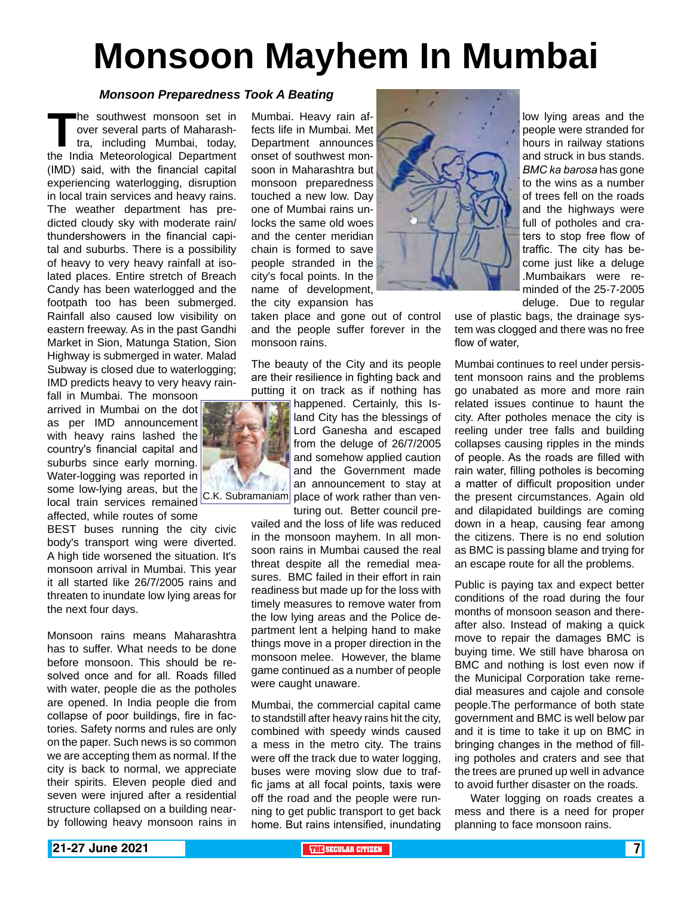# **Monsoon Mayhem In Mumbai**

#### *Monsoon Preparedness Took A Beating*

**The southwest monsoon set in**<br>over several parts of Maharash-<br>tra, including Mumbai, today,<br>the India Meteorological Department over several parts of Maharashtra, including Mumbai, today, the India Meteorological Department (IMD) said, with the financial capital experiencing waterlogging, disruption in local train services and heavy rains. The weather department has predicted cloudy sky with moderate rain/ thundershowers in the financial capital and suburbs. There is a possibility of heavy to very heavy rainfall at isolated places. Entire stretch of Breach Candy has been waterlogged and the footpath too has been submerged. Rainfall also caused low visibility on eastern freeway. As in the past Gandhi Market in Sion, Matunga Station, Sion Highway is submerged in water. Malad Subway is closed due to waterlogging; IMD predicts heavy to very heavy rain-

fall in Mumbai. The monsoon arrived in Mumbai on the dot as per IMD announcement with heavy rains lashed the country's financial capital and suburbs since early morning. Water-logging was reported in some low-lying areas, but the

affected, while routes of some

BEST buses running the city civic body's transport wing were diverted. A high tide worsened the situation. It's monsoon arrival in Mumbai. This year it all started like 26/7/2005 rains and threaten to inundate low lying areas for the next four days.

Monsoon rains means Maharashtra has to suffer. What needs to be done before monsoon. This should be resolved once and for all. Roads filled with water, people die as the potholes are opened. In India people die from collapse of poor buildings, fire in factories. Safety norms and rules are only on the paper. Such news is so common we are accepting them as normal. If the city is back to normal, we appreciate their spirits. Eleven people died and seven were injured after a residential structure collapsed on a building nearby following heavy monsoon rains in Mumbai. Heavy rain affects life in Mumbai. Met Department announces onset of southwest monsoon in Maharashtra but monsoon preparedness touched a new low. Day one of Mumbai rains unlocks the same old woes and the center meridian chain is formed to save people stranded in the city's focal points. In the name of development, the city expansion has

taken place and gone out of control and the people suffer forever in the monsoon rains.

The beauty of the City and its people are their resilience in fighting back and putting it on track as if nothing has

being to mying areas, surface  $|C.K.$  Subramaniam place of work rather than ven-<br>local train services remained  $|C.K.$  Subramaniam place of work rather served are happened. Certainly, this Island City has the blessings of Lord Ganesha and escaped from the deluge of 26/7/2005 and somehow applied caution and the Government made an announcement to stay at

turing out. Better council prevailed and the loss of life was reduced in the monsoon mayhem. In all monsoon rains in Mumbai caused the real threat despite all the remedial measures. BMC failed in their effort in rain readiness but made up for the loss with timely measures to remove water from the low lying areas and the Police department lent a helping hand to make things move in a proper direction in the monsoon melee. However, the blame game continued as a number of people were caught unaware.

Mumbai, the commercial capital came to standstill after heavy rains hit the city, combined with speedy winds caused a mess in the metro city. The trains were off the track due to water logging, buses were moving slow due to traffic jams at all focal points, taxis were off the road and the people were running to get public transport to get back home. But rains intensified, inundating



low lying areas and the people were stranded for hours in railway stations and struck in bus stands. *BMC ka barosa* has gone to the wins as a number of trees fell on the roads and the highways were full of potholes and craters to stop free flow of traffic. The city has become just like a deluge .Mumbaikars were reminded of the 25-7-2005 deluge. Due to regular

use of plastic bags, the drainage system was clogged and there was no free flow of water,

Mumbai continues to reel under persistent monsoon rains and the problems go unabated as more and more rain related issues continue to haunt the city. After potholes menace the city is reeling under tree falls and building collapses causing ripples in the minds of people. As the roads are filled with rain water, filling potholes is becoming a matter of difficult proposition under the present circumstances. Again old and dilapidated buildings are coming down in a heap, causing fear among the citizens. There is no end solution as BMC is passing blame and trying for an escape route for all the problems.

Public is paying tax and expect better conditions of the road during the four months of monsoon season and thereafter also. Instead of making a quick move to repair the damages BMC is buying time. We still have bharosa on BMC and nothing is lost even now if the Municipal Corporation take remedial measures and cajole and console people.The performance of both state government and BMC is well below par and it is time to take it up on BMC in bringing changes in the method of filling potholes and craters and see that the trees are pruned up well in advance to avoid further disaster on the roads.

 Water logging on roads creates a mess and there is a need for proper planning to face monsoon rains.

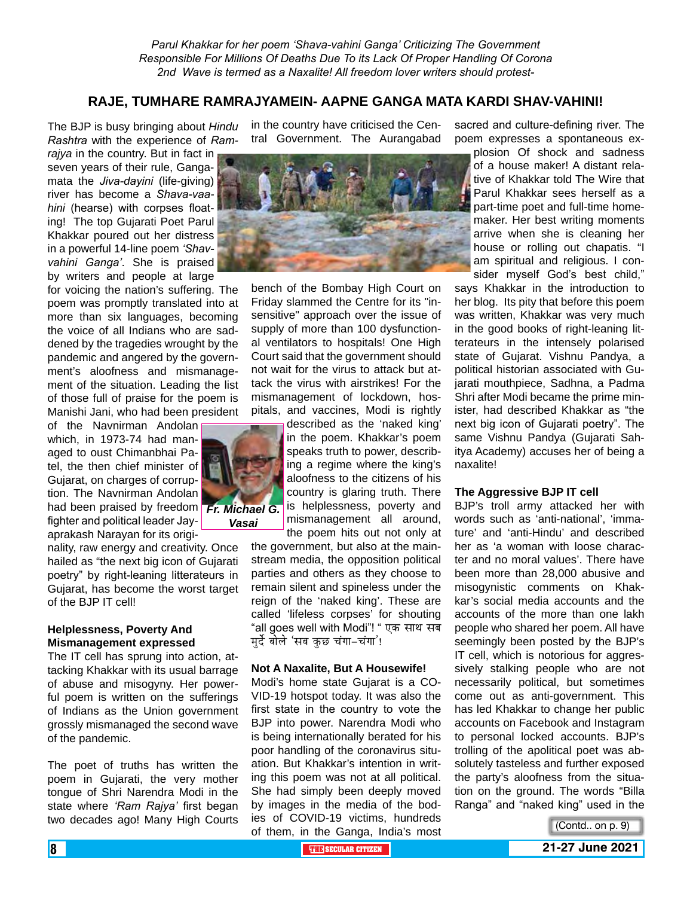#### **RAJE, TUMHARE RAMRAJYAMEIN- AAPNE GANGA MATA KARDI SHAV-VAHINI!**

The BJP is busy bringing about *Hindu Rashtra* with the experience of *Ram-*

*rajya* in the country. But in fact in seven years of their rule, Gangamata the *Jiva-dayini* (life-giving) river has become a *Shava-vaahini* (hearse) with corpses floating! The top Gujarati Poet Parul Khakkar poured out her distress in a powerful 14-line poem *'Shavvahini Ganga'*. She is praised by writers and people at large

for voicing the nation's suffering. The poem was promptly translated into at more than six languages, becoming the voice of all Indians who are saddened by the tragedies wrought by the pandemic and angered by the government's aloofness and mismanagement of the situation. Leading the list of those full of praise for the poem is Manishi Jani, who had been president

of the Navnirman Andolan which, in 1973-74 had managed to oust Chimanbhai Patel, the then chief minister of Gujarat, on charges of corruption. The Navnirman Andolan had been praised by freedom *Fr. Michael G.*  fighter and political leader Jayaprakash Narayan for its origi-

nality, raw energy and creativity. Once hailed as "the next big icon of Gujarati poetry" by right-leaning litterateurs in Gujarat, has become the worst target of the BJP IT cell!

#### **Helplessness, Poverty And Mismanagement expressed**

The IT cell has sprung into action, attacking Khakkar with its usual barrage of abuse and misogyny. Her powerful poem is written on the sufferings of Indians as the Union government grossly mismanaged the second wave of the pandemic.

The poet of truths has written the poem in Gujarati, the very mother tongue of Shri Narendra Modi in the state where *'Ram Rajya'* first began two decades ago! Many High Courts

in the country have criticised the Central Government. The Aurangabad



bench of the Bombay High Court on Friday slammed the Centre for its "insensitive" approach over the issue of supply of more than 100 dysfunctional ventilators to hospitals! One High Court said that the government should not wait for the virus to attack but attack the virus with airstrikes! For the mismanagement of lockdown, hospitals, and vaccines, Modi is rightly

> described as the 'naked king' in the poem. Khakkar's poem speaks truth to power, describing a regime where the king's aloofness to the citizens of his country is glaring truth. There is helplessness, poverty and mismanagement all around, the poem hits out not only at

the government, but also at the mainstream media, the opposition political parties and others as they choose to remain silent and spineless under the reign of the 'naked king'. These are called 'lifeless corpses' for shouting "all goes well with Modi"! " एक साथ सब मुर्दे बोले 'सब कुछ चंगा-चंगा'!

#### **Not A Naxalite, But A Housewife!**

Modi's home state Gujarat is a CO-VID-19 hotspot today. It was also the first state in the country to vote the BJP into power. Narendra Modi who is being internationally berated for his poor handling of the coronavirus situation. But Khakkar's intention in writing this poem was not at all political. She had simply been deeply moved by images in the media of the bodies of COVID-19 victims, hundreds of them, in the Ganga, India's most

sacred and culture-defining river. The poem expresses a spontaneous ex-

plosion Of shock and sadness of a house maker! A distant relative of Khakkar told The Wire that Parul Khakkar sees herself as a part-time poet and full-time homemaker. Her best writing moments arrive when she is cleaning her house or rolling out chapatis. "I am spiritual and religious. I consider myself God's best child,"

says Khakkar in the introduction to her blog. Its pity that before this poem was written, Khakkar was very much in the good books of right-leaning litterateurs in the intensely polarised state of Gujarat. Vishnu Pandya, a political historian associated with Gujarati mouthpiece, Sadhna, a Padma Shri after Modi became the prime minister, had described Khakkar as "the next big icon of Gujarati poetry". The same Vishnu Pandya (Gujarati Sahitya Academy) accuses her of being a naxalite!

#### **The Aggressive BJP IT cell**

BJP's troll army attacked her with words such as 'anti-national', 'immature' and 'anti-Hindu' and described her as 'a woman with loose character and no moral values'. There have been more than 28,000 abusive and misogynistic comments on Khakkar's social media accounts and the accounts of the more than one lakh people who shared her poem. All have seemingly been posted by the BJP's IT cell, which is notorious for aggressively stalking people who are not necessarily political, but sometimes come out as anti-government. This has led Khakkar to change her public accounts on Facebook and Instagram to personal locked accounts. BJP's trolling of the apolitical poet was absolutely tasteless and further exposed the party's aloofness from the situation on the ground. The words "Billa Ranga" and "naked king" used in the



*Vasai*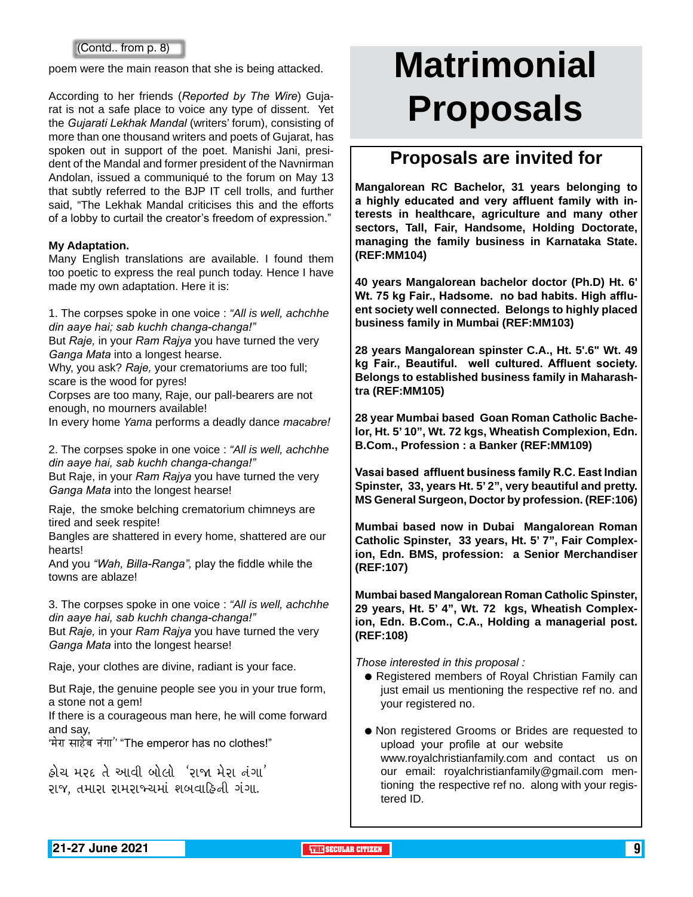#### (Contd.. from p. 8)

poem were the main reason that she is being attacked.

According to her friends (*Reported by The Wire*) Gujarat is not a safe place to voice any type of dissent. Yet the *Gujarati Lekhak Mandal* (writers' forum), consisting of more than one thousand writers and poets of Gujarat, has spoken out in support of the poet. Manishi Jani, president of the Mandal and former president of the Navnirman Andolan, issued a communiqué to the forum on May 13 that subtly referred to the BJP IT cell trolls, and further said, "The Lekhak Mandal criticises this and the efforts of a lobby to curtail the creator's freedom of expression."

#### **My Adaptation.**

Many English translations are available. I found them too poetic to express the real punch today. Hence I have made my own adaptation. Here it is:

1. The corpses spoke in one voice : *"All is well, achchhe din aaye hai; sab kuchh changa-changa!"*

But *Raje,* in your *Ram Rajya* you have turned the very *Ganga Mata* into a longest hearse.

Why, you ask? *Raje,* your crematoriums are too full; scare is the wood for pyres!

Corpses are too many, Raje, our pall-bearers are not enough, no mourners available!

In every home *Yama* performs a deadly dance *macabre!*

2. The corpses spoke in one voice : *"All is well, achchhe din aaye hai, sab kuchh changa-changa!"* But Raje, in your *Ram Rajya* you have turned the very *Ganga Mata* into the longest hearse!

Raje, the smoke belching crematorium chimneys are tired and seek respite!

Bangles are shattered in every home, shattered are our hearts!

And you *"Wah, Billa-Ranga",* play the fiddle while the towns are ablaze!

3. The corpses spoke in one voice : *"All is well, achchhe din aaye hai, sab kuchh changa-changa!"*

But *Raje,* in your *Ram Rajya* you have turned the very *Ganga Mata* into the longest hearse!

Raje, your clothes are divine, radiant is your face.

But Raje, the genuine people see you in your true form, a stone not a gem!

If there is a courageous man here, he will come forward and say,

'मेरा साहेब नंगा'' "The emperor has no clothes!"

<u>કોચ મરદ તે આવી બોલો 'રાજા મેરા નંગા'</u> રાજ, તમારા રામરાજ્ચમાં શબવાહિની ગંગા.

# **Matrimonial Proposals**

### **Proposals are invited for**

**Mangalorean RC Bachelor, 31 years belonging to a highly educated and very affluent family with interests in healthcare, agriculture and many other sectors, Tall, Fair, Handsome, Holding Doctorate, managing the family business in Karnataka State. (REF:MM104)**

**40 years Mangalorean bachelor doctor (Ph.D) Ht. 6' Wt. 75 kg Fair., Hadsome. no bad habits. High affluent society well connected. Belongs to highly placed business family in Mumbai (REF:MM103)**

**28 years Mangalorean spinster C.A., Ht. 5'.6" Wt. 49 kg Fair., Beautiful. well cultured. Affluent society. Belongs to established business family in Maharashtra (REF:MM105)**

**28 year Mumbai based Goan Roman Catholic Bachelor, Ht. 5' 10", Wt. 72 kgs, Wheatish Complexion, Edn. B.Com., Profession : a Banker (REF:MM109)**

**Vasai based affluent business family R.C. East Indian Spinster, 33, years Ht. 5' 2", very beautiful and pretty. MS General Surgeon, Doctor by profession. (REF:106)**

**Mumbai based now in Dubai Mangalorean Roman Catholic Spinster, 33 years, Ht. 5' 7", Fair Complexion, Edn. BMS, profession: a Senior Merchandiser (REF:107)**

**Mumbai based Mangalorean Roman Catholic Spinster, 29 years, Ht. 5' 4", Wt. 72 kgs, Wheatish Complexion, Edn. B.Com., C.A., Holding a managerial post. (REF:108)** 

*Those interested in this proposal :*

- **Registered members of Royal Christian Family can** just email us mentioning the respective ref no. and your registered no.
- $\bullet$  Non registered Grooms or Brides are requested to upload your profile at our website www.royalchristianfamily.com and contact us on our email: royalchristianfamily@gmail.com mentioning the respective ref no. along with your registered ID.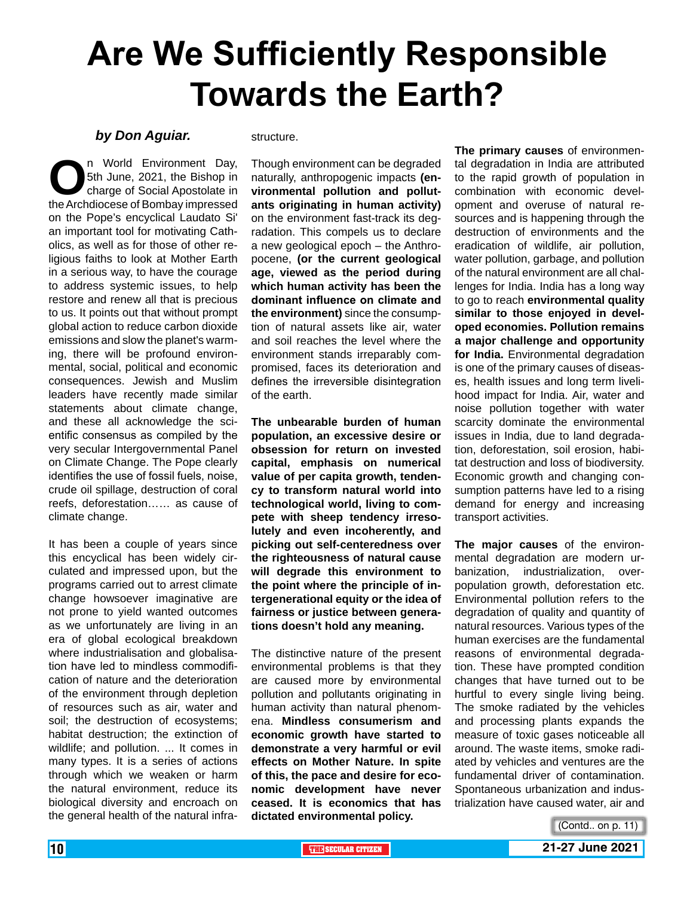## **Are We Sufficiently Responsible Towards the Earth?**

#### *by Don Aguiar.*

n World Environment Day,<br>
5th June, 2021, the Bishop in<br>
the Archdiocese of Bombay impressed 5th June, 2021, the Bishop in charge of Social Apostolate in on the Pope's encyclical Laudato Si' an important tool for motivating Catholics, as well as for those of other religious faiths to look at Mother Earth in a serious way, to have the courage to address systemic issues, to help restore and renew all that is precious to us. It points out that without prompt global action to reduce carbon dioxide emissions and slow the planet's warming, there will be profound environmental, social, political and economic consequences. Jewish and Muslim leaders have recently made similar statements about climate change, and these all acknowledge the scientific consensus as compiled by the very secular Intergovernmental Panel on Climate Change. The Pope clearly identifies the use of fossil fuels, noise, crude oil spillage, destruction of coral reefs, deforestation…… as cause of climate change.

It has been a couple of years since this encyclical has been widely circulated and impressed upon, but the programs carried out to arrest climate change howsoever imaginative are not prone to yield wanted outcomes as we unfortunately are living in an era of global ecological breakdown where industrialisation and globalisation have led to mindless commodification of nature and the deterioration of the environment through depletion of resources such as air, water and soil; the destruction of ecosystems; habitat destruction; the extinction of wildlife; and pollution. ... It comes in many types. It is a series of actions through which we weaken or harm the natural environment, reduce its biological diversity and encroach on the general health of the natural infrastructure.

Though environment can be degraded naturally, anthropogenic impacts **(environmental pollution and pollutants originating in human activity)** on the environment fast-track its degradation. This compels us to declare a new geological epoch – the Anthropocene, **(or the current geological age, viewed as the period during which human activity has been the dominant influence on climate and the environment)** since the consumption of natural assets like air, water and soil reaches the level where the environment stands irreparably compromised, faces its deterioration and defines the irreversible disintegration of the earth.

**The unbearable burden of human population, an excessive desire or obsession for return on invested capital, emphasis on numerical value of per capita growth, tendency to transform natural world into technological world, living to compete with sheep tendency irresolutely and even incoherently, and picking out self-centeredness over the righteousness of natural cause will degrade this environment to the point where the principle of intergenerational equity or the idea of fairness or justice between generations doesn't hold any meaning.**

The distinctive nature of the present environmental problems is that they are caused more by environmental pollution and pollutants originating in human activity than natural phenomena. **Mindless consumerism and economic growth have started to demonstrate a very harmful or evil effects on Mother Nature. In spite of this, the pace and desire for economic development have never ceased. It is economics that has dictated environmental policy.**

**The primary causes** of environmental degradation in India are attributed to the rapid growth of population in combination with economic development and overuse of natural resources and is happening through the destruction of environments and the eradication of wildlife, air pollution, water pollution, garbage, and pollution of the natural environment are all challenges for India. India has a long way to go to reach **environmental quality similar to those enjoyed in developed economies. Pollution remains a major challenge and opportunity for India.** Environmental degradation is one of the primary causes of diseases, health issues and long term livelihood impact for India. Air, water and noise pollution together with water scarcity dominate the environmental issues in India, due to land degradation, deforestation, soil erosion, habitat destruction and loss of biodiversity. Economic growth and changing consumption patterns have led to a rising demand for energy and increasing transport activities.

**The major causes** of the environmental degradation are modern urbanization, industrialization, overpopulation growth, deforestation etc. Environmental pollution refers to the degradation of quality and quantity of natural resources. Various types of the human exercises are the fundamental reasons of environmental degradation. These have prompted condition changes that have turned out to be hurtful to every single living being. The smoke radiated by the vehicles and processing plants expands the measure of toxic gases noticeable all around. The waste items, smoke radiated by vehicles and ventures are the fundamental driver of contamination. Spontaneous urbanization and industrialization have caused water, air and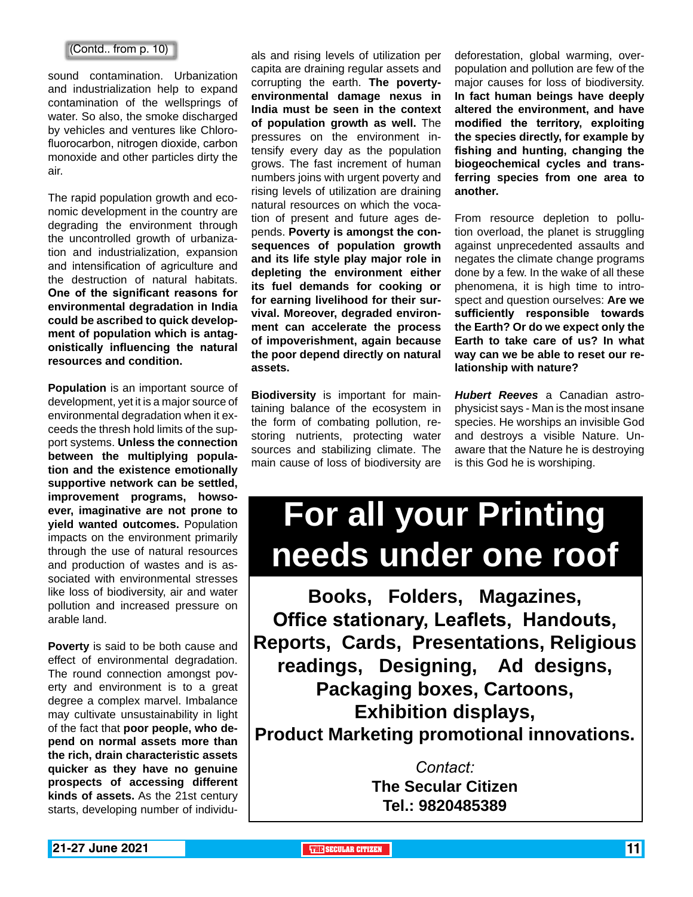#### (Contd.. from p. 10)

sound contamination. Urbanization and industrialization help to expand contamination of the wellsprings of water. So also, the smoke discharged by vehicles and ventures like Chlorofluorocarbon, nitrogen dioxide, carbon monoxide and other particles dirty the air.

The rapid population growth and economic development in the country are degrading the environment through the uncontrolled growth of urbanization and industrialization, expansion and intensification of agriculture and the destruction of natural habitats. **One of the significant reasons for environmental degradation in India could be ascribed to quick development of population which is antagonistically influencing the natural resources and condition.**

**Population** is an important source of development, yet it is a major source of environmental degradation when it exceeds the thresh hold limits of the support systems. **Unless the connection between the multiplying population and the existence emotionally supportive network can be settled, improvement programs, howsoever, imaginative are not prone to yield wanted outcomes.** Population impacts on the environment primarily through the use of natural resources and production of wastes and is associated with environmental stresses like loss of biodiversity, air and water pollution and increased pressure on arable land.

**Poverty** is said to be both cause and effect of environmental degradation. The round connection amongst poverty and environment is to a great degree a complex marvel. Imbalance may cultivate unsustainability in light of the fact that **poor people, who depend on normal assets more than the rich, drain characteristic assets quicker as they have no genuine prospects of accessing different kinds of assets.** As the 21st century starts, developing number of individuals and rising levels of utilization per capita are draining regular assets and corrupting the earth. **The povertyenvironmental damage nexus in India must be seen in the context of population growth as well.** The pressures on the environment intensify every day as the population grows. The fast increment of human numbers joins with urgent poverty and rising levels of utilization are draining natural resources on which the vocation of present and future ages depends. **Poverty is amongst the consequences of population growth and its life style play major role in depleting the environment either its fuel demands for cooking or for earning livelihood for their survival. Moreover, degraded environment can accelerate the process of impoverishment, again because the poor depend directly on natural assets.**

**Biodiversity** is important for maintaining balance of the ecosystem in the form of combating pollution, restoring nutrients, protecting water sources and stabilizing climate. The main cause of loss of biodiversity are

deforestation, global warming, overpopulation and pollution are few of the major causes for loss of biodiversity. **In fact human beings have deeply altered the environment, and have modified the territory, exploiting the species directly, for example by fishing and hunting, changing the biogeochemical cycles and transferring species from one area to another.**

From resource depletion to pollution overload, the planet is struggling against unprecedented assaults and negates the climate change programs done by a few. In the wake of all these phenomena, it is high time to introspect and question ourselves: **Are we sufficiently responsible towards the Earth? Or do we expect only the Earth to take care of us? In what way can we be able to reset our relationship with nature?**

*Hubert Reeves* a Canadian astrophysicist says - Man is the most insane species. He worships an invisible God and destroys a visible Nature. Unaware that the Nature he is destroying is this God he is worshiping.

## **For all your Printing needs under one roof**

**Books, Folders, Magazines, Office stationary, Leaflets, Handouts, Reports, Cards, Presentations, Religious readings, Designing, Ad designs, Packaging boxes, Cartoons, Exhibition displays, Product Marketing promotional innovations.**

> *Contact:* **The Secular Citizen Tel.: 9820485389**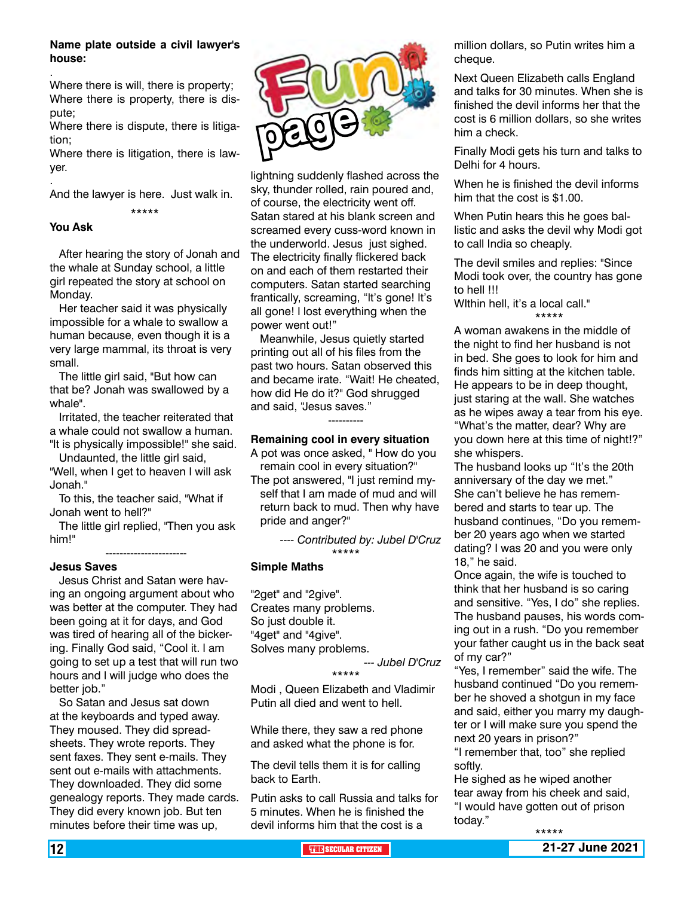#### **Name plate outside a civil lawyer's house:**

Where there is will, there is property; Where there is property, there is dispute;

Where there is dispute, there is litigation;

Where there is litigation, there is lawyer.

And the lawyer is here. Just walk in.

\*\*\*\*\*

#### **You Ask**

.

.

 After hearing the story of Jonah and the whale at Sunday school, a little girl repeated the story at school on Monday.

 Her teacher said it was physically impossible for a whale to swallow a human because, even though it is a very large mammal, its throat is very small.

 The little girl said, "But how can that be? Jonah was swallowed by a whale".

 Irritated, the teacher reiterated that a whale could not swallow a human. "It is physically impossible!" she said.

 Undaunted, the little girl said, "Well, when I get to heaven I will ask

Jonah."

 To this, the teacher said, "What if Jonah went to hell?"

-----------------------

 The little girl replied, "Then you ask him!"

#### **Jesus Saves**

 Jesus Christ and Satan were having an ongoing argument about who was better at the computer. They had been going at it for days, and God was tired of hearing all of the bickering. Finally God said, "Cool it. l am going to set up a test that will run two hours and l will judge who does the better job."

 So Satan and Jesus sat down at the keyboards and typed away. They moused. They did spreadsheets. They wrote reports. They sent faxes. They sent e-mails. They sent out e-mails with attachments. They downloaded. They did some genealogy reports. They made cards. They did every known job. But ten minutes before their time was up,



lightning suddenly flashed across the sky, thunder rolled, rain poured and, of course, the electricity went off. Satan stared at his blank screen and screamed every cuss-word known in the underworld. Jesus just sighed. The electricity finally flickered back on and each of them restarted their computers. Satan started searching frantically, screaming, "lt's gone! lt's all gone! l lost everything when the power went out!"

 Meanwhile, Jesus quietly started printing out all of his files from the past two hours. Satan observed this and became irate. "Wait! He cheated, how did He do it?" God shrugged and said, "Jesus saves."

#### ---------- **Remaining cool in every situation**

A pot was once asked, " How do you remain cool in every situation?"

The pot answered, "I just remind myself that I am made of mud and will return back to mud. Then why have pride and anger?"

> *---- Contributed by: Jubel D'Cruz* \*\*\*\*\*

#### **Simple Maths**

"2get" and "2give". Creates many problems. So just double it. "4get" and "4give". Solves many problems. *--- Jubel D'Cruz*

#### \*\*\*\*\*

Modi , Queen Elizabeth and Vladimir Putin all died and went to hell.

While there, they saw a red phone and asked what the phone is for.

The devil tells them it is for calling back to Earth.

Putin asks to call Russia and talks for 5 minutes. When he is finished the devil informs him that the cost is a

million dollars, so Putin writes him a cheque.

Next Queen Elizabeth calls England and talks for 30 minutes. When she is finished the devil informs her that the cost is 6 million dollars, so she writes him a check.

Finally Modi gets his turn and talks to Delhi for 4 hours.

When he is finished the devil informs him that the cost is \$1.00.

When Putin hears this he goes ballistic and asks the devil why Modi got to call India so cheaply.

The devil smiles and replies: "Since Modi took over, the country has gone to hell !!!

WIthin hell, it's a local call." \*\*\*\*\*

A woman awakens in the middle of the night to find her husband is not in bed. She goes to look for him and finds him sitting at the kitchen table. He appears to be in deep thought, just staring at the wall. She watches as he wipes away a tear from his eye. "What's the matter, dear? Why are you down here at this time of night!?" she whispers.

The husband looks up "It's the 20th anniversary of the day we met." She can't believe he has remembered and starts to tear up. The husband continues, "Do you remember 20 years ago when we started dating? I was 20 and you were only 18," he said.

Once again, the wife is touched to think that her husband is so caring and sensitive. "Yes, I do" she replies. The husband pauses, his words coming out in a rush. "Do you remember your father caught us in the back seat of my car?"

"Yes, I remember" said the wife. The husband continued "Do you remember he shoved a shotgun in my face and said, either you marry my daughter or I will make sure you spend the next 20 years in prison?"

"I remember that, too" she replied softly.

He sighed as he wiped another tear away from his cheek and said, "I would have gotten out of prison today."

12 **THE SECULAR CITIZEN 21-27 June 2021**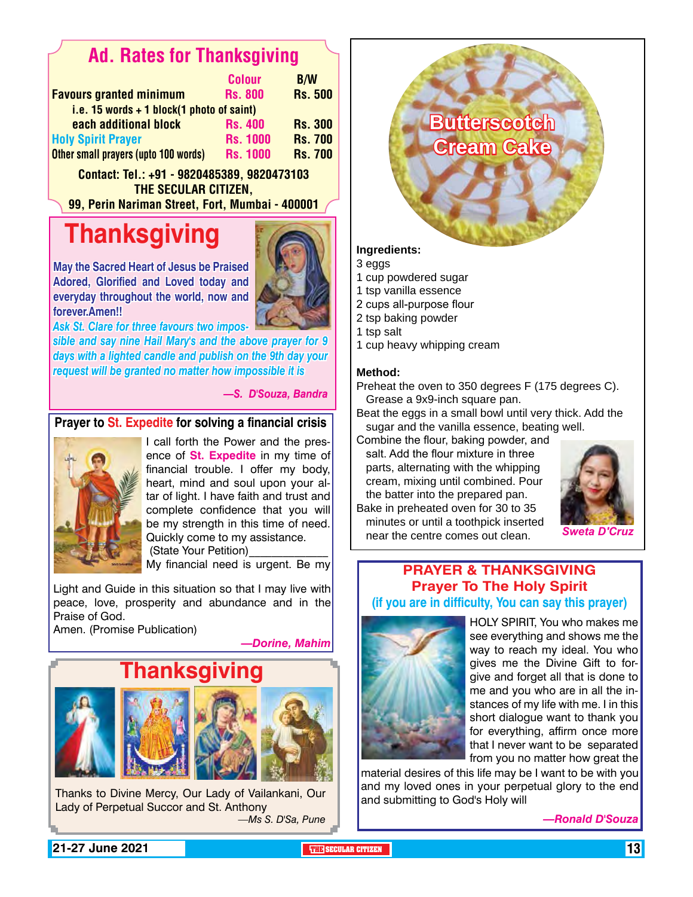### Ad. Rates for Thanksgiving

|                                             | <b>Colour</b>   | <b>B/W</b>     |
|---------------------------------------------|-----------------|----------------|
| <b>Favours granted minimum</b>              | <b>Rs. 800</b>  | <b>Rs. 500</b> |
| i.e. 15 words $+$ 1 block(1 photo of saint) |                 |                |
| each additional block                       | <b>Rs. 400</b>  | <b>Rs. 300</b> |
| <b>Holy Spirit Prayer</b>                   | <b>Rs. 1000</b> | <b>Rs. 700</b> |
| Other small prayers (upto 100 words)        | <b>Rs. 1000</b> | <b>Rs. 700</b> |

Contact: Tel.: +91 - 9820485389, 9820473103 The Secular Citizen,

99, Perin Nariman Street, Fort, Mumbai - 400001

## **Thanksgiving**



**May the Sacred Heart of Jesus be Praised Adored, Glorified and Loved today and everyday throughout the world, now and forever.Amen!!**

*sible and say nine Hail Mary's and the above prayer for 9 days with a lighted candle and publish on the 9th day your Ask St. Clare for three favours two impos-*

*request will be granted no matter how impossible it is*

#### *—S. D'Souza, Bandra*

#### **Prayer to St. Expedite for solving a financial crisis**



I call forth the Power and the presence of **St. Expedite** in my time of financial trouble. I offer my body, heart, mind and soul upon your altar of light. I have faith and trust and complete confidence that you will be my strength in this time of need. Quickly come to my assistance. (State Your Petition)

My financial need is urgent. Be my

Light and Guide in this situation so that I may live with peace, love, prosperity and abundance and in the Praise of God.

Amen. (Promise Publication)

*—Dorine, Mahim*



Thanks to Divine Mercy, Our Lady of Vailankani, Our Lady of Perpetual Succor and St. Anthony *—Ms S. D'Sa, Pune*

**Butterscotch Cream Cake**

**Ingredients:**

- 3 eggs
- 1 cup powdered sugar
- 1 tsp vanilla essence
- 2 cups all-purpose flour
- 2 tsp baking powder
- 1 tsp salt
- 1 cup heavy whipping cream

#### **Method:**

Preheat the oven to 350 degrees F (175 degrees C). Grease a 9x9-inch square pan.

Beat the eggs in a small bowl until very thick. Add the sugar and the vanilla essence, beating well.

Combine the flour, baking powder, and

salt. Add the flour mixture in three parts, alternating with the whipping cream, mixing until combined. Pour the batter into the prepared pan. Bake in preheated oven for 30 to 35



minutes or until a toothpick inserted near the centre comes out clean. *Sweta D'Cruz*

#### **Prayer & Thanksgiving Prayer To The Holy Spirit (if you are in difficulty, You can say this prayer)**



HOLY SPIRIT, You who makes me see everything and shows me the way to reach my ideal. You who gives me the Divine Gift to forgive and forget all that is done to me and you who are in all the instances of my life with me. I in this short dialogue want to thank you for everything, affirm once more that I never want to be separated from you no matter how great the

material desires of this life may be I want to be with you and my loved ones in your perpetual glory to the end and submitting to God's Holy will

*—Ronald D'Souza*

**21-27 June 2021 THE SECULAR CITIZEN** 13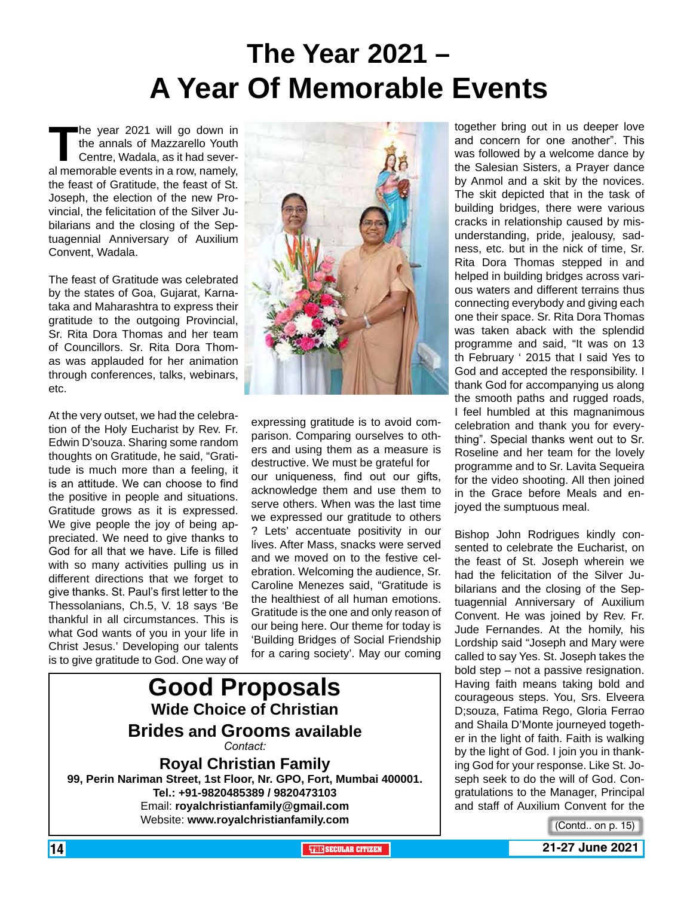## **The Year 2021 – A Year Of Memorable Events**

**The year 2021 will go down in the annals of Mazzarello Youth Centre, Wadala, as it had several memorable events in a row, namely,** the annals of Mazzarello Youth Centre, Wadala, as it had severthe feast of Gratitude, the feast of St. Joseph, the election of the new Provincial, the felicitation of the Silver Jubilarians and the closing of the Septuagennial Anniversary of Auxilium Convent, Wadala.

The feast of Gratitude was celebrated by the states of Goa, Gujarat, Karnataka and Maharashtra to express their gratitude to the outgoing Provincial, Sr. Rita Dora Thomas and her team of Councillors. Sr. Rita Dora Thomas was applauded for her animation through conferences, talks, webinars, etc.

At the very outset, we had the celebration of the Holy Eucharist by Rev. Fr. Edwin D'souza. Sharing some random thoughts on Gratitude, he said, "Gratitude is much more than a feeling, it is an attitude. We can choose to find the positive in people and situations. Gratitude grows as it is expressed. We give people the joy of being appreciated. We need to give thanks to God for all that we have. Life is filled with so many activities pulling us in different directions that we forget to give thanks. St. Paul's first letter to the Thessolanians, Ch.5, V. 18 says 'Be thankful in all circumstances. This is what God wants of you in your life in Christ Jesus.' Developing our talents is to give gratitude to God. One way of



expressing gratitude is to avoid comparison. Comparing ourselves to others and using them as a measure is destructive. We must be grateful for our uniqueness, find out our gifts, acknowledge them and use them to serve others. When was the last time we expressed our gratitude to others ? Lets' accentuate positivity in our lives. After Mass, snacks were served and we moved on to the festive celebration. Welcoming the audience, Sr. Caroline Menezes said, "Gratitude is the healthiest of all human emotions. Gratitude is the one and only reason of our being here. Our theme for today is 'Building Bridges of Social Friendship for a caring society'. May our coming

### **Good Proposals Wide Choice of Christian Brides and Grooms available** *Contact:*

**Royal Christian Family 99, Perin Nariman Street, 1st Floor, Nr. GPO, Fort, Mumbai 400001. Tel.: +91-9820485389 / 9820473103** Email: **royalchristianfamily@gmail.com** Website: **www.royalchristianfamily.com**

together bring out in us deeper love and concern for one another". This was followed by a welcome dance by the Salesian Sisters, a Prayer dance by Anmol and a skit by the novices. The skit depicted that in the task of building bridges, there were various cracks in relationship caused by misunderstanding, pride, jealousy, sadness, etc. but in the nick of time, Sr. Rita Dora Thomas stepped in and helped in building bridges across various waters and different terrains thus connecting everybody and giving each one their space. Sr. Rita Dora Thomas was taken aback with the splendid programme and said, "It was on 13 th February ' 2015 that I said Yes to God and accepted the responsibility. I thank God for accompanying us along the smooth paths and rugged roads, I feel humbled at this magnanimous celebration and thank you for everything". Special thanks went out to Sr. Roseline and her team for the lovely programme and to Sr. Lavita Sequeira for the video shooting. All then joined in the Grace before Meals and enjoyed the sumptuous meal.

Bishop John Rodrigues kindly consented to celebrate the Eucharist, on the feast of St. Joseph wherein we had the felicitation of the Silver Jubilarians and the closing of the Septuagennial Anniversary of Auxilium Convent. He was joined by Rev. Fr. Jude Fernandes. At the homily, his Lordship said "Joseph and Mary were called to say Yes. St. Joseph takes the bold step – not a passive resignation. Having faith means taking bold and courageous steps. You, Srs. Elveera D;souza, Fatima Rego, Gloria Ferrao and Shaila D'Monte journeyed together in the light of faith. Faith is walking by the light of God. I join you in thanking God for your response. Like St. Joseph seek to do the will of God. Congratulations to the Manager, Principal and staff of Auxilium Convent for the

(Contd.. on p. 15)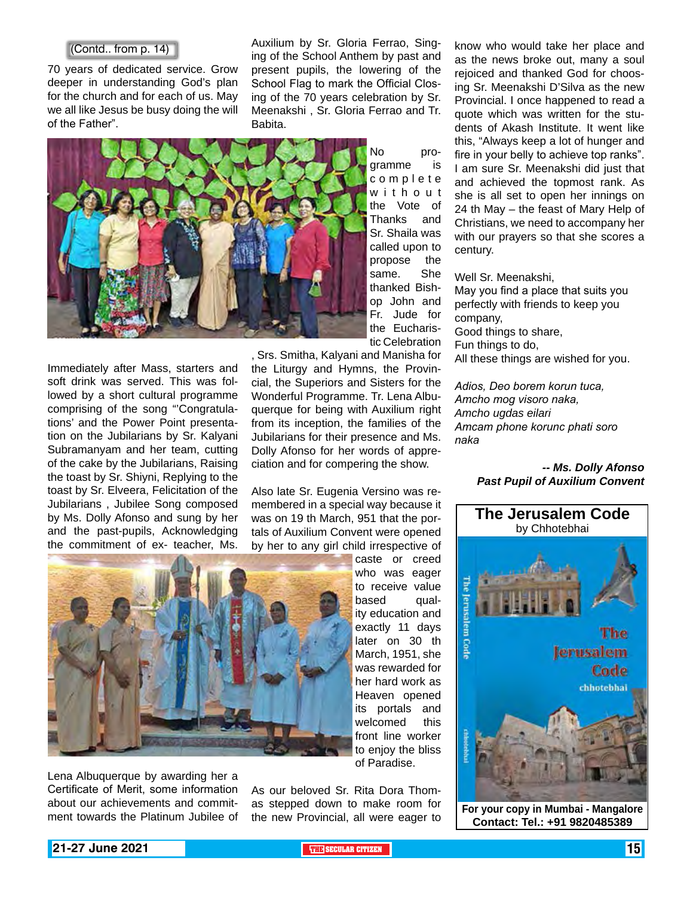70 years of dedicated service. Grow deeper in understanding God's plan for the church and for each of us. May we all like Jesus be busy doing the will of the Father".

Auxilium by Sr. Gloria Ferrao, Singing of the School Anthem by past and present pupils, the lowering of the School Flag to mark the Official Closing of the 70 years celebration by Sr. Meenakshi , Sr. Gloria Ferrao and Tr. Babita.



Immediately after Mass, starters and soft drink was served. This was followed by a short cultural programme comprising of the song "Congratulations' and the Power Point presentation on the Jubilarians by Sr. Kalyani Subramanyam and her team, cutting of the cake by the Jubilarians, Raising the toast by Sr. Shiyni, Replying to the toast by Sr. Elveera, Felicitation of the Jubilarians , Jubilee Song composed by Ms. Dolly Afonso and sung by her and the past-pupils, Acknowledging the commitment of ex- teacher, Ms.

the Eucharistic Celebration , Srs. Smitha, Kalyani and Manisha for the Liturgy and Hymns, the Provincial, the Superiors and Sisters for the Wonderful Programme. Tr. Lena Albuquerque for being with Auxilium right from its inception, the families of the Jubilarians for their presence and Ms. Dolly Afonso for her words of appreciation and for compering the show.

Also late Sr. Eugenia Versino was remembered in a special way because it was on 19 th March, 951 that the portals of Auxilium Convent were opened by her to any girl child irrespective of

(Contd.. from p. 14) **EXAMPLE ALL** AUXIIIUM by ST. GIONA Ferrao, Sing- know who would take her place and as the news broke out, many a soul rejoiced and thanked God for choosing Sr. Meenakshi D'Silva as the new Provincial. I once happened to read a quote which was written for the students of Akash Institute. It went like this, "Always keep a lot of hunger and fire in your belly to achieve top ranks". I am sure Sr. Meenakshi did just that and achieved the topmost rank. As she is all set to open her innings on 24 th May – the feast of Mary Help of Christians, we need to accompany her with our prayers so that she scores a century.

Well Sr. Meenakshi,

May you find a place that suits you perfectly with friends to keep you company, Good things to share, Fun things to do, All these things are wished for you.

*Adios, Deo borem korun tuca, Amcho mog visoro naka, Amcho ugdas eilari Amcam phone korunc phati soro naka*

#### *-- Ms. Dolly Afonso Past Pupil of Auxilium Convent*



Lena Albuquerque by awarding her a Certificate of Merit, some information about our achievements and commitcaste or creed who was eager to receive value based quality education and exactly 11 days later on 30 th March, 1951, she was rewarded for her hard work as Heaven opened its portals and welcomed this front line worker to enjoy the bliss of Paradise.

ment towards the Platinum Jubilee of the new Provincial, all were eager to **For your copy in Mumbai - Mangalore**<br> **Contact: Tel : +91 9820485389** As our beloved Sr. Rita Dora Thomas stepped down to make room for



**Contact: Tel.: +91 9820485389**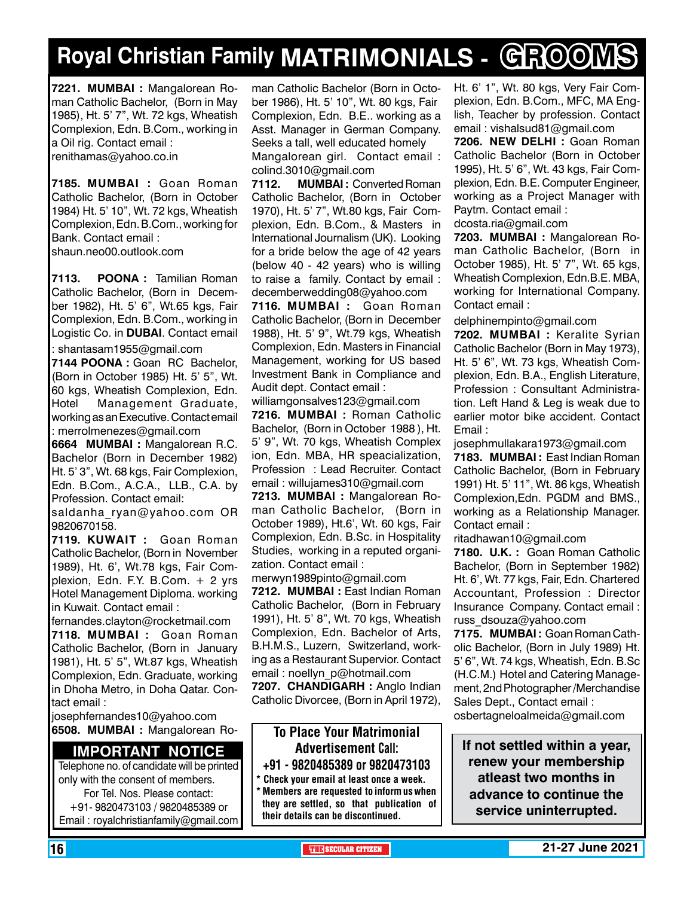## **Royal Christian Family MATRIMONIALS - GROOMS**

**7221. MUMBAI :** Mangalorean Roman Catholic Bachelor, (Born in May 1985), Ht. 5' 7", Wt. 72 kgs, Wheatish Complexion, Edn. B.Com., working in a Oil rig. Contact email : renithamas@yahoo.co.in

**7185. MUMBAI :** Goan Roman Catholic Bachelor, (Born in October 1984) Ht. 5' 10", Wt. 72 kgs, Wheatish Complexion, Edn. B.Com., working for Bank. Contact email : shaun.neo00.outlook.com

**7113. POONA :** Tamilian Roman Catholic Bachelor, (Born in December 1982), Ht. 5' 6", Wt.65 kgs, Fair Complexion, Edn. B.Com., working in Logistic Co. in **DUBAI**. Contact email : shantasam1955@gmail.com

**7144 POONA :** Goan RC Bachelor, (Born in October 1985) Ht. 5' 5", Wt. 60 kgs, Wheatish Complexion, Edn. Hotel Management Graduate, working as an Executive. Contact email : merrolmenezes@gmail.com

**6664 MUMBAI :** Mangalorean R.C. Bachelor (Born in December 1982) Ht. 5' 3", Wt. 68 kgs, Fair Complexion, Edn. B.Com., A.C.A., LLB., C.A. by Profession. Contact email:

saldanha ryan@yahoo.com OR 9820670158.

**7119. KUWAIT : Goan Roman** Catholic Bachelor, (Born in November 1989), Ht. 6', Wt.78 kgs, Fair Complexion, Edn. F.Y. B.Com. + 2 yrs Hotel Management Diploma. working in Kuwait. Contact email :

fernandes.clayton@rocketmail.com **7118. MUMBAI :** Goan Roman Catholic Bachelor, (Born in January 1981), Ht. 5' 5", Wt.87 kgs, Wheatish Complexion, Edn. Graduate, working in Dhoha Metro, in Doha Qatar. Contact email :

josephfernandes10@yahoo.com **6508. MUMBAI :** Mangalorean Ro-

#### **Important Notice**

Telephone no. of candidate will be printed only with the consent of members. For Tel. Nos. Please contact: +91- 9820473103 / 9820485389 or Email : royalchristianfamily@gmail.com

man Catholic Bachelor (Born in October 1986), Ht. 5' 10", Wt. 80 kgs, Fair Complexion, Edn. B.E.. working as a Asst. Manager in German Company. Seeks a tall, well educated homely Mangalorean girl. Contact email : colind.3010@gmail.com

**7112. MUMBAI :** Converted Roman Catholic Bachelor, (Born in October 1970), Ht. 5' 7", Wt.80 kgs, Fair Complexion, Edn. B.Com., & Masters in International Journalism (UK). Looking for a bride below the age of 42 years (below 40 - 42 years) who is willing to raise a family. Contact by email : decemberwedding08@yahoo.com

**7116. MUMBAI :** Goan Roman Catholic Bachelor, (Born in December 1988), Ht. 5' 9", Wt.79 kgs, Wheatish Complexion, Edn. Masters in Financial Management, working for US based Investment Bank in Compliance and Audit dept. Contact email :

williamgonsalves123@gmail.com

**7216. MUMBAI :** Roman Catholic Bachelor, (Born in October 1988 ), Ht. 5' 9", Wt. 70 kgs, Wheatish Complex ion, Edn. MBA, HR speacialization, Profession : Lead Recruiter. Contact email : willujames310@gmail.com

**7213. MUMBAI :** Mangalorean Roman Catholic Bachelor, (Born in October 1989), Ht.6', Wt. 60 kgs, Fair Complexion, Edn. B.Sc. in Hospitality Studies, working in a reputed organization. Contact email :

merwyn1989pinto@gmail.com **7212. MUMBAI :** East Indian Roman Catholic Bachelor, (Born in February 1991), Ht. 5' 8", Wt. 70 kgs, Wheatish Complexion, Edn. Bachelor of Arts, B.H.M.S., Luzern, Switzerland, working as a Restaurant Supervior. Contact email : noellyn\_p@hotmail.com

7207. CHANDIGARH : Anglo Indian Catholic Divorcee, (Born in April 1972),

#### To Place Your Matrimonial Advertisement Call: +91 - 9820485389 or 9820473103

Check your email at least once a week.

Members are requested to inform us when they are settled, so that publication of their details can be discontinued.

Ht. 6' 1", Wt. 80 kgs, Very Fair Complexion, Edn. B.Com., MFC, MA English, Teacher by profession. Contact email : vishalsud81@gmail.com

**7206. new delhi :** Goan Roman Catholic Bachelor (Born in October 1995), Ht. 5' 6", Wt. 43 kgs, Fair Complexion, Edn. B.E. Computer Engineer, working as a Project Manager with Paytm. Contact email :

dcosta.ria@gmail.com

**7203. MUMBAI :** Mangalorean Roman Catholic Bachelor, (Born in October 1985), Ht. 5' 7", Wt. 65 kgs, Wheatish Complexion, Edn.B.E. MBA, working for International Company. Contact email :

delphinempinto@gmail.com

**7202. MUMBAI :** Keralite Syrian Catholic Bachelor (Born in May 1973), Ht. 5' 6", Wt. 73 kgs, Wheatish Complexion, Edn. B.A., English Literature, Profession : Consultant Administration. Left Hand & Leg is weak due to earlier motor bike accident. Contact Email :

josephmullakara1973@gmail.com **7183. MUMBAI :** East Indian Roman Catholic Bachelor, (Born in February 1991) Ht. 5' 11", Wt. 86 kgs, Wheatish Complexion,Edn. PGDM and BMS., working as a Relationship Manager. Contact email :

ritadhawan10@gmail.com

**7180. U.K. :** Goan Roman Catholic Bachelor, (Born in September 1982) Ht. 6', Wt. 77 kgs, Fair, Edn. Chartered Accountant, Profession : Director Insurance Company. Contact email : russ\_dsouza@yahoo.com

**7175. MUMBAI :** Goan Roman Catholic Bachelor, (Born in July 1989) Ht. 5' 6", Wt. 74 kgs, Wheatish, Edn. B.Sc (H.C.M.) Hotel and Catering Management, 2nd Photographer /Merchandise Sales Dept., Contact email : osbertagneloalmeida@gmail.com

**If not settled within a year, renew your membership atleast two months in advance to continue the service uninterrupted.**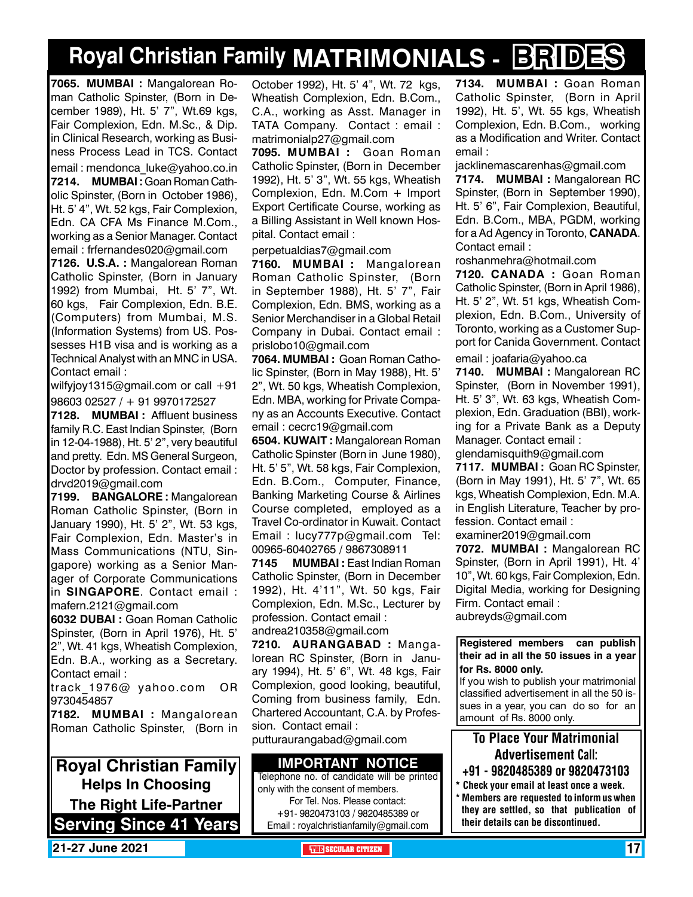## **Royal Christian Family MATRIMONIALS - BRIDES**

**7065. MUMBAI :** Mangalorean Roman Catholic Spinster, (Born in December 1989), Ht. 5' 7", Wt.69 kgs, Fair Complexion, Edn. M.Sc., & Dip. in Clinical Research, working as Business Process Lead in TCS. Contact

email : mendonca\_luke@yahoo.co.in **7214. MUMBAI :** Goan Roman Catholic Spinster, (Born in October 1986), Ht. 5' 4", Wt. 52 kgs, Fair Complexion, Edn. CA CFA Ms Finance M.Com., working as a Senior Manager. Contact email : frfernandes020@gmail.com

**7126. U.S.A. :** Mangalorean Roman Catholic Spinster, (Born in January 1992) from Mumbai, Ht. 5' 7", Wt. 60 kgs, Fair Complexion, Edn. B.E. (Computers) from Mumbai, M.S. (Information Systems) from US. Possesses H1B visa and is working as a Technical Analyst with an MNC in USA. Contact email :

wilfyjoy1315@gmail.com or call +91 98603 02527 / + 91 9970172527

**7128. MUMBAI :** Affluent business family R.C. East Indian Spinster, (Born in 12-04-1988), Ht. 5' 2", very beautiful and pretty. Edn. MS General Surgeon, Doctor by profession. Contact email : drvd2019@gmail.com

**7199. BANGALORE :** Mangalorean Roman Catholic Spinster, (Born in January 1990), Ht. 5' 2", Wt. 53 kgs, Fair Complexion, Edn. Master's in Mass Communications (NTU, Singapore) working as a Senior Manager of Corporate Communications in **SINGAPORE**. Contact email : mafern.2121@gmail.com

**6032 DUBAI :** Goan Roman Catholic Spinster, (Born in April 1976), Ht. 5' 2", Wt. 41 kgs, Wheatish Complexion, Edn. B.A., working as a Secretary. Contact email :

track\_1976@ yahoo.com OR 9730454857

**7182. MUMBAI :** Mangalorean Roman Catholic Spinster, (Born in

**Royal Christian Family Helps In Choosing The Right Life-Partner Serving Since 41 Years** October 1992), Ht. 5' 4", Wt. 72 kgs, Wheatish Complexion, Edn. B.Com., C.A., working as Asst. Manager in TATA Company. Contact : email : matrimonialp27@gmail.com

**7095. MUMBAI :** Goan Roman Catholic Spinster, (Born in December 1992), Ht. 5' 3", Wt. 55 kgs, Wheatish Complexion, Edn. M.Com + Import Export Certificate Course, working as a Billing Assistant in Well known Hospital. Contact email :

#### perpetualdias7@gmail.com

**7160. MUMBAI :** Mangalorean Roman Catholic Spinster, (Born in September 1988), Ht. 5' 7", Fair Complexion, Edn. BMS, working as a Senior Merchandiser in a Global Retail Company in Dubai. Contact email : prislobo10@gmail.com

**7064. MUMBAI :** Goan Roman Catholic Spinster, (Born in May 1988), Ht. 5' 2", Wt. 50 kgs, Wheatish Complexion, Edn. MBA, working for Private Company as an Accounts Executive. Contact email : cecrc19@gmail.com

**6504. KUWAIT: Mangalorean Roman** Catholic Spinster (Born in June 1980), Ht. 5' 5", Wt. 58 kgs, Fair Complexion, Edn. B.Com., Computer, Finance, Banking Marketing Course & Airlines Course completed, employed as a Travel Co-ordinator in Kuwait. Contact Email : lucy777p@gmail.com Tel: 00965-60402765 / 9867308911

**7145 MUMBAI :** East Indian Roman Catholic Spinster, (Born in December 1992), Ht. 4'11", Wt. 50 kgs, Fair Complexion, Edn. M.Sc., Lecturer by profession. Contact email : andrea210358@gmail.com

**7210. AURANGABAD : Manga**lorean RC Spinster, (Born in January 1994), Ht. 5' 6", Wt. 48 kgs, Fair Complexion, good looking, beautiful, Coming from business family, Edn. Chartered Accountant, C.A. by Profession. Contact email :

putturaurangabad@gmail.com

#### **Important Notice**

Telephone no. of candidate will be printed only with the consent of members. For Tel. Nos. Please contact: +91- 9820473103 / 9820485389 or Email : royalchristianfamily@gmail.com

**7134. MUMBAI :** Goan Roman Catholic Spinster, (Born in April 1992), Ht. 5', Wt. 55 kgs, Wheatish Complexion, Edn. B.Com., working as a Modification and Writer. Contact email :

jacklinemascarenhas@gmail.com **7174. MUMBAI :** Mangalorean RC Spinster, (Born in September 1990), Ht. 5' 6", Fair Complexion, Beautiful, Edn. B.Com., MBA, PGDM, working for a Ad Agency in Toronto, **Canada**. Contact email :

roshanmehra@hotmail.com

**7120. CANADA :** Goan Roman Catholic Spinster, (Born in April 1986), Ht. 5' 2", Wt. 51 kgs, Wheatish Complexion, Edn. B.Com., University of Toronto, working as a Customer Support for Canida Government. Contact

email : joafaria@yahoo.ca

**7140. MUMBAI :** Mangalorean RC Spinster, (Born in November 1991), Ht. 5' 3", Wt. 63 kgs, Wheatish Complexion, Edn. Graduation (BBI), working for a Private Bank as a Deputy Manager. Contact email :

glendamisquith9@gmail.com

**7117. MUMBAI :** Goan RC Spinster, (Born in May 1991), Ht. 5' 7", Wt. 65 kgs, Wheatish Complexion, Edn. M.A. in English Literature, Teacher by profession. Contact email :

examiner2019@gmail.com

**7072. MUMBAI :** Mangalorean RC Spinster, (Born in April 1991), Ht. 4' 10", Wt. 60 kgs, Fair Complexion, Edn. Digital Media, working for Designing Firm. Contact email :

aubreyds@gmail.com

#### **Registered members can publish their ad in all the 50 issues in a year for Rs. 8000 only.**

If you wish to publish your matrimonial classified advertisement in all the 50 issues in a year, you can do so for an amount of Rs. 8000 only.

### To Place Your Matrimonial Advertisement Call:

- +91 9820485389 or 9820473103
- \* Check your email at least once a week. \* Members are requested to inform us when they are settled, so that publication of their details can be discontinued.

**21-27 June 2021 THE SECULAR CITIZEN** 17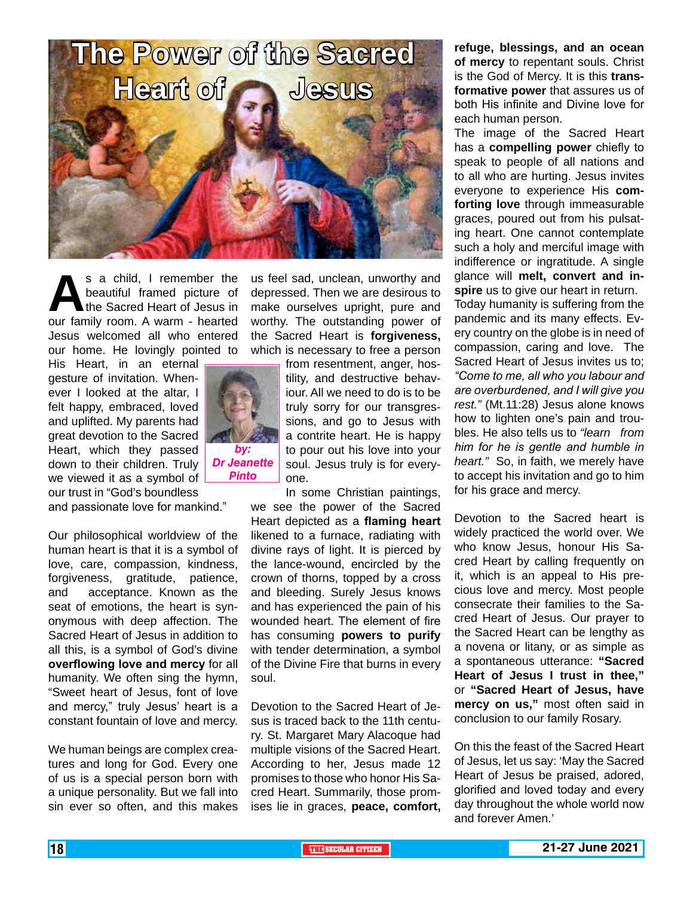

s a child, I remember the<br>beautiful framed picture of<br>the Sacred Heart of Jesus in<br>our family room. A warm - hearted beautiful framed picture of the Sacred Heart of Jesus in our family room. A warm - hearted Jesus welcomed all who entered our home. He lovingly pointed to

His Heart, in an eternal gesture of invitation. Whenever I looked at the altar, I felt happy, embraced, loved and uplifted. My parents had great devotion to the Sacred Heart, which they passed down to their children. Truly we viewed it as a symbol of our trust in "God's boundless



*Pinto*

and passionate love for mankind."

Our philosophical worldview of the human heart is that it is a symbol of love, care, compassion, kindness, forgiveness, gratitude, patience, and acceptance. Known as the seat of emotions, the heart is synonymous with deep affection. The Sacred Heart of Jesus in addition to all this, is a symbol of God's divine **overflowing love and mercy** for all humanity. We often sing the hymn, "Sweet heart of Jesus, font of love and mercy," truly Jesus' heart is a constant fountain of love and mercy.

We human beings are complex creatures and long for God. Every one of us is a special person born with a unique personality. But we fall into sin ever so often, and this makes us feel sad, unclean, unworthy and depressed. Then we are desirous to make ourselves upright, pure and worthy. The outstanding power of the Sacred Heart is **forgiveness,** which is necessary to free a person

> from resentment, anger, hostility, and destructive behaviour. All we need to do is to be truly sorry for our transgressions, and go to Jesus with a contrite heart. He is happy to pour out his love into your soul. Jesus truly is for everyone.

In some Christian paintings, we see the power of the Sacred Heart depicted as a **flaming heart** likened to a furnace, radiating with divine rays of light. It is pierced by the lance-wound, encircled by the crown of thorns, topped by a cross and bleeding. Surely Jesus knows and has experienced the pain of his wounded heart. The element of fire has consuming **powers to purify** with tender determination, a symbol of the Divine Fire that burns in every soul.

Devotion to the Sacred Heart of Jesus is traced back to the 11th century. St. Margaret Mary Alacoque had multiple visions of the Sacred Heart. According to her, Jesus made 12 promises to those who honor His Sacred Heart. Summarily, those promises lie in graces, **peace, comfort,** 

**refuge, blessings, and an ocean of mercy** to repentant souls. Christ is the God of Mercy. It is this **transformative power** that assures us of both His infinite and Divine love for each human person.

The image of the Sacred Heart has a **compelling power** chiefly to speak to people of all nations and to all who are hurting. Jesus invites everyone to experience His **comforting love** through immeasurable graces, poured out from his pulsating heart. One cannot contemplate such a holy and merciful image with indifference or ingratitude. A single glance will **melt, convert and inspire** us to give our heart in return.

Today humanity is suffering from the pandemic and its many effects. Every country on the globe is in need of compassion, caring and love. The Sacred Heart of Jesus invites us to; *"Come to me, all who you labour and are overburdened, and I will give you rest."* (Mt.11:28) Jesus alone knows how to lighten one's pain and troubles. He also tells us to *"learn from him for he is gentle and humble in heart."* So, in faith, we merely have to accept his invitation and go to him for his grace and mercy.

Devotion to the Sacred heart is widely practiced the world over. We who know Jesus, honour His Sacred Heart by calling frequently on it, which is an appeal to His precious love and mercy. Most people consecrate their families to the Sacred Heart of Jesus. Our prayer to the Sacred Heart can be lengthy as a novena or litany, or as simple as a spontaneous utterance: **"Sacred Heart of Jesus I trust in thee,"**  or **"Sacred Heart of Jesus, have mercy on us,"** most often said in conclusion to our family Rosary.

On this the feast of the Sacred Heart of Jesus, let us say: 'May the Sacred Heart of Jesus be praised, adored, glorified and loved today and every day throughout the whole world now and forever Amen.'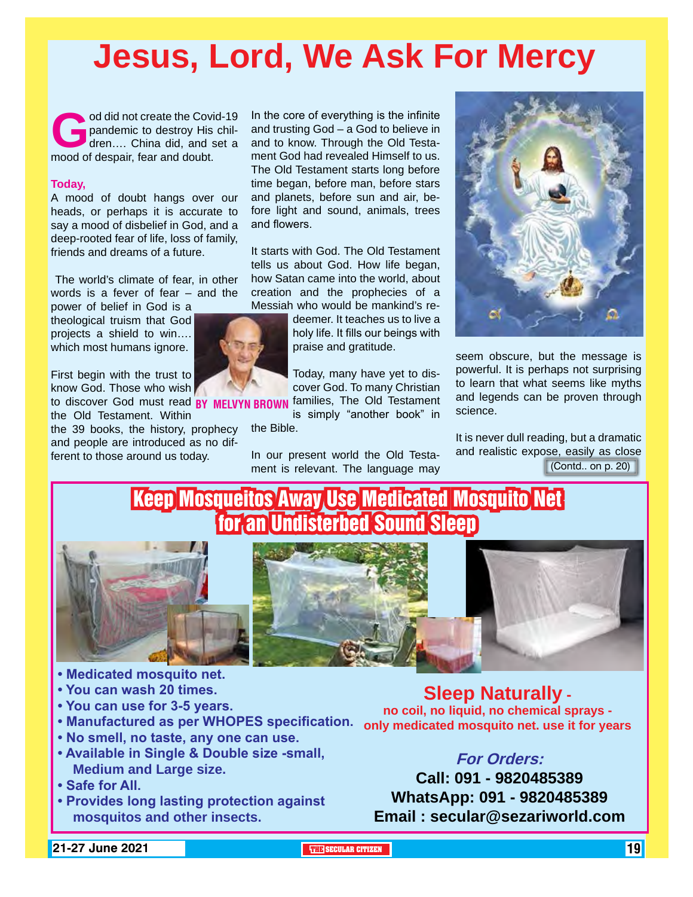## **Jesus, Lord, We Ask For Mercy**

od did not create the Covid-19<br>pandemic to destroy His chil-<br>dren.... China did, and set a<br>mood of despair. fear and doubt. pandemic to destroy His children…. China did, and set a mood of despair, fear and doubt.

#### **Today,**

A mood of doubt hangs over our heads, or perhaps it is accurate to say a mood of disbelief in God, and a deep-rooted fear of life, loss of family, friends and dreams of a future.

 The world's climate of fear, in other words is a fever of fear – and the

power of belief in God is a theological truism that God projects a shield to win…. which most humans ignore.

First begin with the trust to know God. Those who wish to discover God must read BY MELVYN BR

the Old Testament. Within the 39 books, the history, prophecy

and people are introduced as no different to those around us today.

In the core of everything is the infinite and trusting God – a God to believe in and to know. Through the Old Testament God had revealed Himself to us. The Old Testament starts long before time began, before man, before stars and planets, before sun and air, before light and sound, animals, trees and flowers.

It starts with God. The Old Testament tells us about God. How life began, how Satan came into the world, about creation and the prophecies of a Messiah who would be mankind's re-

deemer. It teaches us to live a holy life. It fills our beings with praise and gratitude.

Today, many have yet to discover God. To many Christian **N BROWN** families, The Old Testament

is simply "another book" in the Bible.

In our present world the Old Testament is relevant. The language may



seem obscure, but the message is powerful. It is perhaps not surprising to learn that what seems like myths and legends can be proven through science.

(Contd.. on p. 20) It is never dull reading, but a dramatic and realistic expose, easily as close

### Keep Mosqueitos Away Use Medicated Mosquito Net for an Undisterbed Sound Sleep



- **Medicated mosquito net.**
- **You can wash 20 times.**
- **You can use for 3-5 years.**
- 
- **No smell, no taste, any one can use.**
- **Available in Single & Double size -small, Medium and Large size.**
- **Safe for All.**
- **Provides long lasting protection against mosquitos and other insects.**

**• Manufactured as per WHOPES specification. only medicated mosquito net. use it for years Sleep Naturally no coil, no liquid, no chemical sprays -** 

### **For Orders:**

**Call: 091 - 9820485389 WhatsApp: 091 - 9820485389 Email : secular@sezariworld.com**